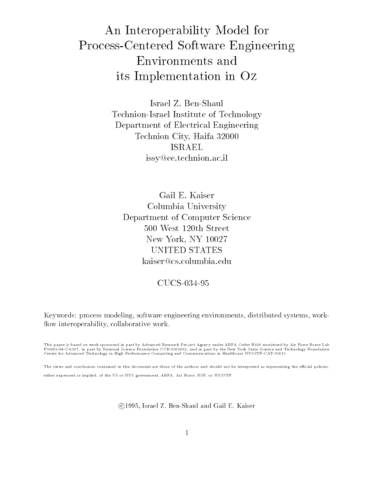# An Interoperability Model for Process-Centered Software Engineering Environments and its Implementation in Oz

Technion-Israel Institute of Technology Department of Electrical Engineering Technion City, Haifa 32000 **ISRAEL** issyee-technique-technique-technique-technique-technique-technique-technique-technique-technique-technique-tec

Gail E. Kaiser Columbia University Department of Computer Science New York, NY 10027 New York NY 1980, the second control of the second control of the second control of the second control of the UNITED STATES kaiser@cs.columbia.edu

## CUCS-034-95

Keywords- process modeling software engineering environments distributed systems work flow interoperability, collaborative work.

This paper is based on work sponsored in part by Advanced Research Pro ject Agency under ARPA Order B- monitored by Air Force Rome Lab Center for Advanced Technology in High Performance Computing and Communications in Healthcare NYSSTF CAT 95013.

The views and conclusions contained in this document are those of the authors and should not be interpreted as representing the official policies, either expressed or implied, of the US or NYS government, ARPA, Air Force, NSF, or NYSSTF.

c - Israel Z BenShaul and Gail E Kaiser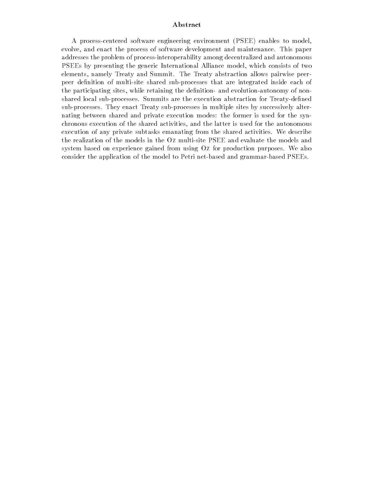#### Abstract

A process-centered software engineering environment (PSEE) enables to model, evolve, and enact the process of software development and maintenance. This paper addresses the problem of processinteroperability among decentralized and autonomous PSEEs by presenting the generic International Alliance model which consists of two elements, namely Treaty and Summit. The Treaty abstraction allows pairwise peerpeer de nition of multisite shared subprocesses that are integrated inside each of the participating sites while retaining the de nition and evolutionautonomy of non shared local subprocesses Summits are the execution abstraction for Treatyde ned sub-processes. They enact Treaty sub-processes in multiple sites by successively alternating between shared and private execution modes the former is used for the syn chronous execution of the shared activities and the latter is used for the autonomous execution of any private subtasks emanating from the shared activities. We describe the realization of the models in the Oz multisite PSEE and evaluate the models and system based on experience gained from using Oz for production purposes. We also consider the application of the model to Petri net-based and grammar-based PSEEs.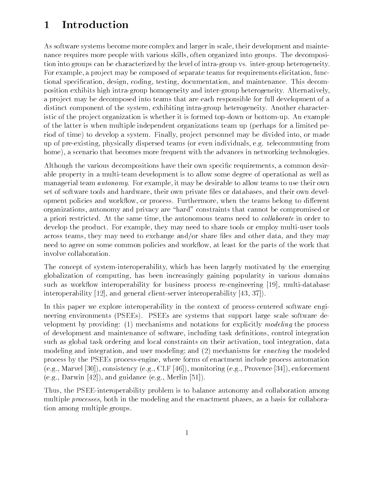# Introduction

As software systems become more complex and larger in scale, their development and maintenance requires more people with various skills, often organized into groups. The decomposition into groups can be characterized by the level of intra-group vs. inter-group heterogeneity. For example, a project may be composed of separate teams for requirements elicitation, functional specification, design, coding, testing, documentation, and maintenance. This decomposition exhibits high intra-group homogeneity and inter-group heterogeneity. Alternatively, a project may be decomposed into teams that are each responsible for full development of a distinct component of the system, exhibiting intra-group heterogeneity. Another characteristic of the project organization is whether it is formed top-down or bottom-up. An example of the latter is when multiple independent organizations team up (perhaps for a limited period of time to develop a system Finally pro ject personnel may be divided into or made up of pre-existing, physically dispersed teams (or even individuals, e.g. telecommuting from home a scenario that becomes more frequent with the advances in networking technologies

Although the various decompositions have their own specific requirements, a common desirable property in a multi-team development is to allow some degree of operational as well as managerial team *autonomy*. For example, it may be desirable to allow teams to use their own set of software tools and hardware, their own private files or databases, and their own development policies and workflow, or process. Furthermore, when the teams belong to different organizations, autonomy and privacy are "hard" constraints that cannot be compromised or a priori restricted. At the same time, the autonomous teams need to *collaborate* in order to develop the product. For example, they may need to share tools or employ multi-user tools across teams, they may need to exchange and/or share files and other data, and they may need to agree on some common policies and workflow, at least for the parts of the work that involve collaboration

The concept of system-interoperability, which has been largely motivated by the emerging globalization of computing has been increasingly gaining popularity in various domains such as workflow interoperability for business process re-engineering  $[19]$ , multi-database interoperability and general clientserver interoperability

In this paper we explore interoperability in the context of process-centered software engineering environments PSEEs PSEEs are systems that support large scale software de ivelopment by providing-by providing-the providing-the providing-the process of the process of the process of the process of the process of the process of the process of the process of the process of the process of the pro of development and maintenance of software including task denitions control integration such as global task ordering and local constraints on their activation, tool integration, data modeling and integration and user modeling and user  $(\equiv)$  and chanisms for enacting the modeled process by the PSEEs process-engine, where forms of enactment include process automation eg Marvel II de Clement and American II de Clement and Clement and Clement and Clement and Clement and Clement eg Darwin and Guidan and the Merlin and the Merlin and the Merlin and the Merlin and the Merlin and the Merlin

Thus, the PSEE-interoperability problem is to balance autonomy and collaboration among multiple *processes*, both in the modeling and the enactment phases, as a basis for collaboration among multiple groups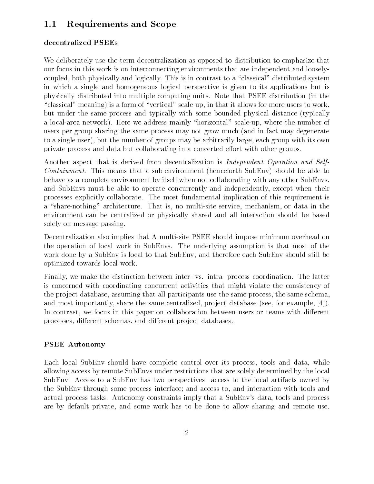#### $1.1$ Requirements and Scope

## decentralized PSEEs

We deliberately use the term decentralization as opposed to distribution to emphasize that our focus in this work is on interconnecting environments that are independent and loosely coupled, both physically and logically. This is in contrast to a "classical" distributed system in which a single and homogeneous logical perspective is given to its applications but is physically distributed into multiple computing units Note that PSEE distribution in the classical contributing, it is allows for all allows form of the latter that it allows for more users to work a but under the same process and typically with some bounded physical distance (typically a locale we address mainly a local control of the number of the number of the number of the number of the number of users per group sharing the same process may not grow much (and in fact may degenerate to a single area it and the manufacture of  $\alpha$  arbitrarily large each  $\alpha$  arbitrarily with  $\alpha$  its own arbitrarily with  $\alpha$ private process and data but collaborating in a concerted effort with other groups.

Another aspect that is derived from decentralization is Independent Operation and Self-Containment This means that a subenvironment henceforth SubEnv should be able to behave as a complete environment by itself when not collaborating with any other SubEnvs and SubEnvs must be able to operate concurrently and independently except when their processes explicitly collaborate The most fundamental implication of this requirement is a "share-nothing" architecture. That is, no multi-site service, mechanism, or data in the environment can be centralized or physically shared and all interaction should be based solely on message passing.

Decentralization also implies that A multi-site PSEE should impose minimum overhead on the operation of local work in SubEnvs The underlying assumption is that most of the work done by a SubEnv is local to that SubEnv and therefore each SubEnv should still be optimized towards local work

Finally, we make the distinction between inter- vs. intra-process coordination. The latter is concerned with coordinating concurrent activities that might violate the consistency of the project database, assuming that all participants use the same process, the same schema, and most importantly share the same centralized problem  $\mathbf{I}$  . The same centralized problem is exampled pro ject database  $\mathbf{I}$ In contrast, we focus in this paper on collaboration between users or teams with different processes, different schemas, and different project databases.

## PSEE Autonomy

Each local SubEnv should have complete control over its process, tools and data, while allowing access by remote SubEnvs under restrictions that are solely determined by the local submatrix to the substitution of the local perspectives-called by the local artifacts of the local artifacts o the SubEnv through some process interface; and access to, and interaction with tools and actual process tasks. Autonomy constraints imply that a SubEnv's data, tools and process are by default private, and some work has to be done to allow sharing and remote use.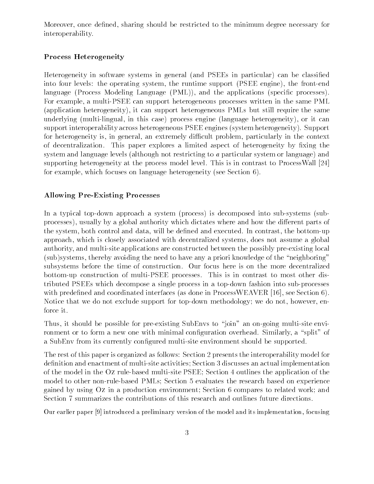Moreover, once defined, sharing should be restricted to the minimum degree necessary for interoperability

## Process Heterogeneity

Heterogeneity in software systems in general and PSEEs in particular can be classied into four levels-system the runtime system the runtime system in the frontendent of the frontendent of the frontendent of the frontendent of the frontendent of the frontendent of the frontendent of the frontendent of the f language Process Modeling Language PML and the applications specic processes For example, a multi-PSEE can support heterogeneous processes written in the same PML application heterogeneity it can support heterogeneous PMLs but still require the same underlying in the case of the case of the case of the case of the case of the case of the case of the case of t support international terms international complete  $\mathcal{S}$  . The support of  $\mathcal{S}$  is the support of  $\mathcal{S}$  is the support of  $\mathcal{S}$ for heterogeneity is, in general, an extremely difficult problem, particularly in the context of decentralization. This paper explores a limited aspect of heterogeneity by fixing the system and language levels although not restricting to a particular system or language and supporting heterogeneity at the process model level. This is in contrast to ProcessWall  $[24]$ for example which focuses on language heterogeneity is a section of the section of  $\mathcal{E}$ 

## Allowing Pre-Existing Processes

in a typical top district where it decomposed into subsystem  $\mathcal{L}$  is decomposed into substitute the substitute of  $\mathcal{L}$ processes usually by a global authority which dictates where and how the dierent parts of the system, both control and data, will be defined and executed. In contrast, the bottom-up approach, which is closely associated with decentralized systems, does not assume a global authority, and multi-site applications are constructed between the possibly pre-existing local sub systems thereby avoiding the need to have any a priori knowledge of the neighboring subsystems before the time of construction Our focus here is on the more decentralized bottom-up construction of multi-PSEE processes. This is in contrast to most other distributed PSEEs which decompose a single process in a top-down fashion into sub-processes with predension with coordinated interfaces  $\{m\}$  and interfaces  $\{m\}$  . The section  $\{m\}$ Notice that we do not exclude support for top-down methodology; we do not, however, enforce it

Thus, it should be possible for pre-existing SubEnvs to "join" an on-going multi-site environment or to form a new one with minimal configuration overhead. Similarly, a "split" of a SubEnv from its currently configured multi-site environment should be supported.

The rest of this paper is organized as follows- Section presents the interoperability model for definition and enactment of multi-site activities; Section 3 discusses an actual implementation of the model in the Oz rule-based multi-site PSEE; Section 4 outlines the application of the model to other non-rule-based PMLs; Section 5 evaluates the research based on experience gained by using Oz in a production environment; Section 6 compares to related work; and Section 7 summarizes the contributions of this research and outlines future directions.

Our earlier paper [9] introduced a preliminary version of the model and its implementation, focusing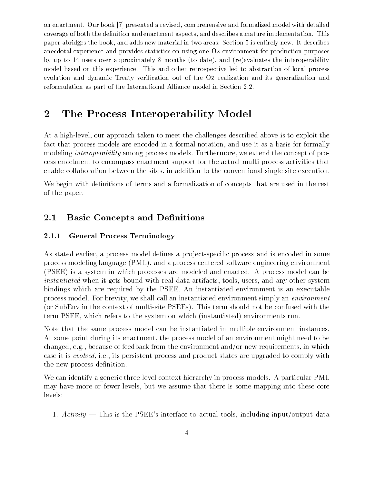on enactment. Our book [7] presented a revised, comprehensive and formalized model with detailed coverage of both the de nition and enactment aspects and describes a mature implementation This paper abridges the book, and adds new material in two areas: Section 5 is entirely new. It describes anecdotal experience and provides statistics on using one Oz environment for production purposes  $\alpha$  , we can define a control to define the internal  $\alpha$  and  $\alpha$  internal  $\alpha$  and  $\alpha$  internal  $\alpha$  international  $\alpha$ model based on this experience. This and other retrospective led to abstraction of local process evolution and dynamic Treaty veri cation out of the Oz realization and its generalization and reformulation as part of the International Alliance model in Section 2.2.

#### $\overline{2}$ The Process Interoperability Model

At a high-level, our approach taken to meet the challenges described above is to exploit the fact that process models are encoded in a formal notation, and use it as a basis for formally modeling *interoperability* among process models. Furthermore, we extend the concept of process enactment to encompass enactment support for the actual multiprocess activities that enable collaboration between the sites, in addition to the conventional single-site execution.

We begin with definitions of terms and a formalization of concepts that are used in the rest of the paper

#### $2.1\,$ Basic Concepts and Definitions

#### General Process Terminology 2.1.1

As stated earlier, a process model defines a project-specific process and is encoded in some process modeling language PML and a processcentered software engineering environment , a seem , as a greate are manial processes are and enacted and enacted and process model can be instantiated when it gets bound with real data artifacts, tools, users, and any other system bindings which are required by the PSEE An instantiated environment is an executable process model For brevity we shall call an instantiated environment simply an environment , as showed the context of multisited with showledge with the confused with the confused with the confused with term PSEE which refers to the system on which instantiated environments run

Note that the same process model can be instantiated in multiple environment instances At some point during its enactment, the process model of an environment might need to be changed, e.g., because of feedback from the environment and/or new requirements, in which case it is *evolved*, i.e., its persistent process and product states are upgraded to comply with the new process definition.

We can identify a generic three-level context hierarchy in process models. A particular PML may have more or fewer levels, but we assume that there is some mapping into these core levels:

1. Activity — This is the PSEE's interface to actual tools, including input/output data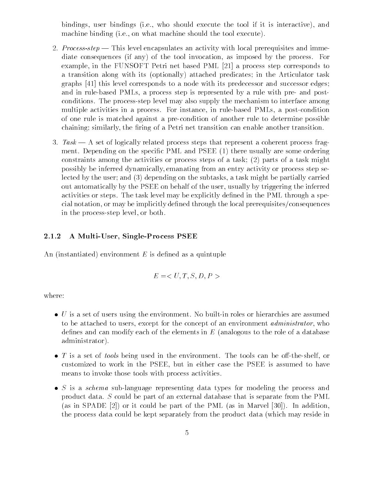bindings user bindings ie who should execute the tool if it is interactive and machine binding  $\mathcal{N}$  , where the tool executies how what machine should the tool executies how the tool executies of the tool executies of the tool executies of the tool executies of the tool executies of the tool exe

- Process-step This level encapsulates an activity with local prerequisites and imme diate consequences (in the top invocation as invocations) in the process for process Formation as in example, in the FUNSOFT Petri net based PML  $[21]$  a process step corresponds to a transition along with its  $\{ \circ \rho \text{ increases} \}$  , attached predicates in the Articulator tasks in the Articulator graphs  $\left[41\right]$  this level corresponds to a node with its predecessor and successor edges; and in rule-based PMLs, a process step is represented by a rule with pre- and postconditions. The process-step level may also supply the mechanism to interface among multiple activities in a process. For instance, in rule-based PMLs, a post-condition of one rule is matched against a precondition of another rule to determine possible chaining; similarly, the firing of a Petri net transition can enable another transition.
- 3. Task  $-$  A set of logically related process steps that represent a coherent process fragment Depending on the specific PML and PSEE ordering  $\mathcal{L}$  , there is no possible some ordering constraints and another activities or process steps of a tasking  $\vert \equiv$  , parts of a task might. possibly be inferred dynamically emanating from an entry activity or process step se lected by the user and depending on the subtasks a task might be partially carried out automatically by the PSEE on behalf of the user usually by triggering the inferred activities or steps. The task level may be explicitly defined in the PML through a special notation, or may be implicitly defined through the local prerequisites/ $\zeta$  consequences in the process-step level, or both.

## $\mathbf{M}$  Multi-Single-Single-Single-Single-Single-Single-Single-Single-Single-Single-Single-Single-Single-Single-Single-Single-Single-Single-Single-Single-Single-Single-Single-Single-Single-Single-Single-Single-Single-Sin

an instrument en is de la contrate de la contrate de la contrate de la contrate de la contrate de la contrate

$$
E = \langle U, T, S, D, P \rangle
$$

where:

- $\bullet$  U is a set of users using the environment. No built-in roles or hierarchies are assumed to be attached to users, except for the concept of an environment *administrator*, who defines and can modify each of the elements in  $E$  (analogous to the role of a database administrator and a control of the second control of the control of the control of the control of the control o
- $\bullet$  1 is a set of *tools* being used in the environment. The tools can be off-the-shelf, or customized to work in the PSEE, but in either case the PSEE is assumed to have means to invoke those tools with process activities
- $\bullet$  5 is a *schema* sub-language representing data types for modeling the process and product data S could be part of an external database that is separate from the PML , in the spatial part of the part of the PML as in the part of the PML and  $\mathbf{r}$  in  $\mathbf{r}$  and  $\mathbf{r}$ the process data could be kept separately from the product data (which may reside in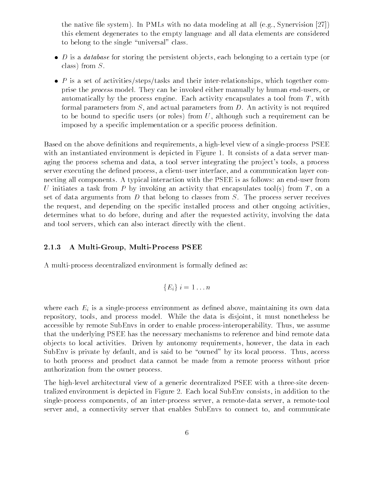the native le system In PMLs with no data modeling at all eg Synervision this element degenerates to the empty language and all data elements are considered to belong to the single "universal" class.

- D is a database for storing the persistent ob jects each belonging to a certain type or class in the class of the class of the class of the class of the class of the class of the class of the class
- $\bullet$   $\,P$  is a set of activities/steps/tasks and their inter-relationships, which together comprise the *process* model. They can be invoked either manually by human end-users, or automatically by the process engine. Each activity encapsulates a tool from  $T$ , with formal parameters from  $S$ , and actual parameters from  $D$ . An activity is not required to bound to bound to specific users  $\mathbf{f}$  requirement can be required as requirement can be required as requirement can be required as  $\mathbf{f}$ imposed by a specific implementation or a specific process definition.

Based on the above definitions and requirements, a high-level view of a single-process PSEE with an instantiated environment is depicted in Figure 1. It consists of a data server managing the process schema and data, a tool server integrating the project's tools, a process server executing the defined process, a client-user interface, and a communication layer connecting all components  $A$  typical interaction with the PSEE is as follows-U interest a task from P by involuting and activity that encapsulates that  $\mathcal{F}$  is the  $\mathcal{F}$ set of data arguments from  $D$  that belong to classes from  $S$ . The process server receives the request, and depending on the specific installed process and other ongoing activities, determines what to do before, during and after the requested activity, involving the data and tool servers, which can also interact directly with the client.

#### $\mathbb{R}$  Multi-Broup Multi-Broup Multi-Broup Multi-Broup Multi-Broup Multi-Broup Multi-Broup Multi-Broup Multi-Broup Multi-Broup Multi-Broup Multi-Broup Multi-Broup Multi-Broup Multi-Broup Multi-Broup Multi-Broup Multi-Br

A multi-process decentralized environment is formally defined as:

$$
\{E_i\} \, i=1 \ldots n
$$

where each  $E_i$  is a single-process environment as defined above, maintaining its own data repository tools and process model While the data is disjoint it must nonetheless be accessible by remote SubEnvs in order to enable process-interoperability. Thus, we assume that the underlying PSEE has the necessary mechanisms to reference and bind remote data objects to local activities. Driven by autonomy requirements, however, the data in each SubEnv is private by default, and is said to be "owned" by its local process. Thus, access to both process and product data cannot be made from a remote process without prior authorization from the owner process

The high-level architectural view of a generic decentralized PSEE with a three-site decentralized environment is depicted in Figure 2. Each local SubEnv consists, in addition to the single-process components, of an inter-process server, a remote-data server, a remote-tool server and, a connectivity server that enables SubEnvs to connect to, and communicate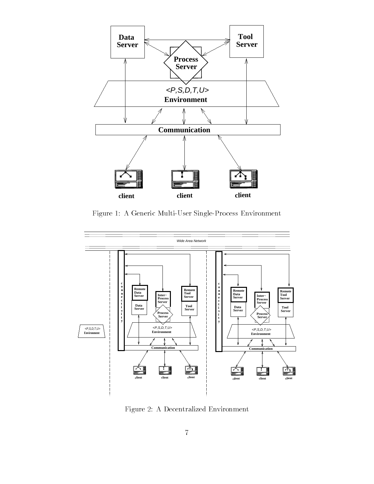

Figure - A Generic MultiUser SingleProcess Environment



Figure - A Decentralized Environment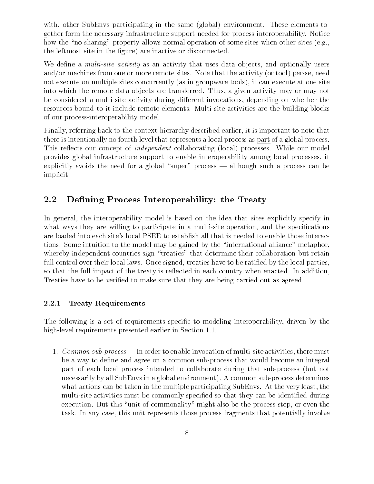with other SubEnvironments participating in the same  $\mathcal{M}$ gether form the necessary infrastructure support needed for process-interoperability. Notice how the "no sharing" property allows normal operation of some sites when other sites  $(e.g.,)$ the leftmost site in the gure  $\mathcal{L}$  in the gure or disconnected or disconnected or disconnected or disconnected or disconnected or disconnected or disconnected or disconnected or disconnected or disconnected or disconn

we denote a multi-site activity that we also it is an activity to data or problems are problems and one of andor machines from one or more remote sites Note that the activity or tool perse need not execute on multiple sites concurrently  $\{m$  in the group ware to can except at one site at  $\alpha$ into which the remote data objects are transferred. Thus, a given activity may or may not be considered a multi-site activity during different invocations, depending on whether the resources bound to it include remote elements. Multi-site activities are the building blocks of our processinteroperability model

Finally, referring back to the context-hierarchy described earlier, it is important to note that there is intentionally no fourth level that represents a local process as part of a global process This reects our concept of independent collaborating local processes While our model provides global infrastructure support to enable interoperability among local processes it explicitly avoids the need for a global "super" process  $-$  although such a process can be implicit

#### 2.2 Defining Process Interoperability: the Treaty

In general, the interoperability model is based on the idea that sites explicitly specify in what ways they are willing to participate in a multi-site operation, and the specifications are loaded into each site's local PSEE to establish all that is needed to enable those interactions. Some intuition to the model may be gained by the "international alliance" metaphor, whereby independent countries sign "treaties" that determine their collaboration but retain full control over their local laws. Once signed, treaties have to be ratified by the local parties, so that the full impact of the treaty is reflected in each country when enacted. In addition, Treaties have to be verified to make sure that they are being carried out as agreed.

#### 2.2.1 Treaty Requirements

The following is a set of requirements specific to modeling interoperability, driven by the high-level requirements presented earlier in Section 1.1.

 Common sub-process In order to enable invocation of multisite activities there must be a way to define and agree on a common sub-process that would become an integral part of each local process intended to collaborate during that sub-process (but not necessarily by all SubEnvs in a global environment A common subprocess determines what actions can be taken in the multiple participating SubEnvs. At the very least, the multi-site activities must be commonly specified so that they can be identified during execution. But this "unit of commonality" might also be the process step, or even the task. In any case, this unit represents those process fragments that potentially involve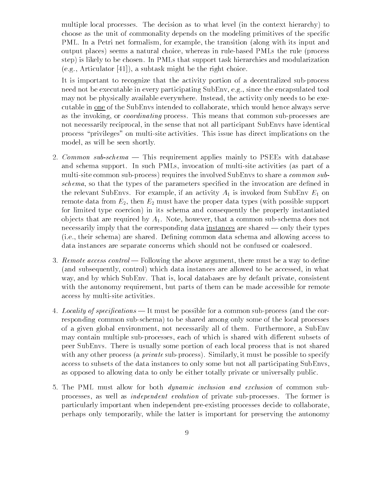multiple local processes The decision as to what level  $\mathcal N$  in the context hierarchy in the context hierarchy in the context hierarchy in the context hierarchy in the context hierarchy in the context hierarchy in the co choose as the unit of commonality depends on the modeling primitives of the specific PML. In a Petri net formalism, for example, the transition (along with its input and output places seems a natural choice whereas in rulebased PMLs the rule process step is likely to be chosen In PMLs that support task hierarchies and modularization  $\mathcal{L}_{\mathcal{A}}$  . The subtast might be the right choice of  $\mathcal{A}_{\mathcal{A}}$  and  $\mathcal{A}_{\mathcal{A}}$  and  $\mathcal{A}_{\mathcal{A}}$  are right.

It is important to recognize that the activity portion of a decentralized sub-process need not be executable in every participating  $SubEnv$ , e.g., since the encapsulated tool may not be physically available everywhere. Instead, the activity only needs to be executable in one of the SubEnvs intended to collaborate which would hence always serve as the invoking, or *coordinating* process. This means that common sub-processes are not necessarily reciprocal in the sense that not all participant SubEnvs have identical process "privileges" on multi-site activities. This issue has direct implications on the model, as will be seen shortly.

- Common sub-schema This requirement applies mainly to PSEEs with database and schema support. In such PMLs, invocation of multi-site activities (as part of a multiste common sub-process to strategies the involved Sub-section sub-month sub-section subschema, so that the types of the parameters specified in the invocation are defined in the relevant SubEnvs. For example, if an activity  $A_1$  is invoked from SubEnv  $E_1$  on remote data from E- then E- must have the proper data types with possible support for limited type coercion in its schema and consequently the properly instantiated objects that are required by  $A_1$ . Note, however, that a common sub-schema does not necessarily imply that the corresponding data instances are shared  $-$  only their types ie their schema schema are shared Dening common data schema and allowing access to  $\Lambda$ data instances are separate concerns which should not be confused or coalesced
- 3. Remote access control Following the above argument, there must be a way to define and subsequently controlled instances are allowed to be accessed in what instances are allowed to be accessed in what in what is a set of  $\alpha$ way, and by which SubEnv. That is, local databases are by default private, consistent with the autonomy requirement, but parts of them can be made accessible for remote access by multi-site activities.
- 4. Locality of specifications It must be possible for a common sub-process (and the corresponding common subschema to be shared among only some of the local processes of a given global environment, not necessarily all of them. Furthermore, a SubEnv may contain multiple sub-processes, each of which is shared with different subsets of peer SubEnvs There is usually some portion of each local process that is not shared with any other process  $\{x, p\}$  , it must be processly interesting  $\{y, p\}$  and  $\{p\}$  and  $\{p\}$ access to subsets of the data instances to only some but not all participating SubEnvs as opposed to allowing data to only be either totally private or universally public
- 5. The PML must allow for both *dynamic inclusion and exclusion* of common subprocesses as well as independent evolution of private subprocesses The former is particularly important when independent preexisting processes decide to collaborate perhaps only temporarily while the latter is important for preserving the autonomy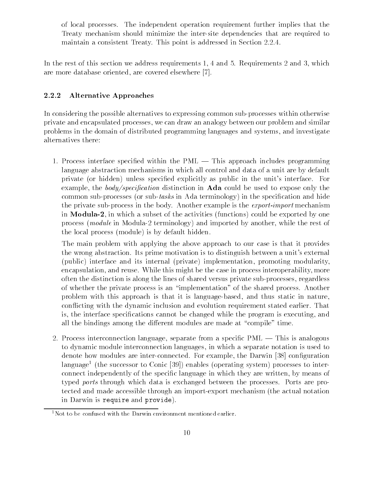of local processes The independent operation requirement further implies that the Treaty mechanism should minimize the intersite dependencies that are required to maintain a consistent Treaty. This point is addressed in Section 2.2.4.

In the rest of this section we address requirements  $1, 4$  and  $5$ . Requirements  $2$  and  $3$ , which are more database oriented, are covered elsewhere [7].

## 2.2.2 Alternative Approaches

In considering the possible alternatives to expressing common sub-processes within otherwise private and encapsulated processes we can draw an analogy between our problem and similar problems in the domain of distributed programming languages and systems and investigate alternatives there:

1. Process interface specified within the  $PML - This$  approach includes programming language abstraction mechanisms in which all control and data of a unit are by default private the minimum species of the unit in the unit interface  $\alpha$  interface  $\alpha$ example, the body/specification distinction in **Ada** could be used to expose only the common subtast in the special substitution in the special common  $\mathcal{A}$  , ) and the special common and hide the private subprocess in the body Another example is the export-import mechanism in a subset a subset of the activities of the activities of the activities of the activities of the could be e process module in Modula terminology and imported by another while the rest of the local process  $\mathcal{N}$  and  $\mathcal{N}$  are defined by default hidden in the local process  $\mathcal{N}$ 

The main problem with applying the above approach to our case is that it provides the wrong abstraction. Its prime motivation is to distinguish between a unit's external interface and its interface and its interface interface and its interface  $\mathcal{A}$  and its interface  $\mathcal{A}$ encapsulation, and reuse. While this might be the case in process interoperability, more often the distinction is along the lines of shared versus private subprocesses regardless of whether the private process is an "implementation" of the shared process. Another problem with this approach is that it is language-based, and thus static in nature, conflicting with the dynamic inclusion and evolution requirement stated earlier. That is, the interface specifications cannot be changed while the program is executing, and all the bindings among the different modules are made at "compile" time.

2. Process interconnection language, separate from a specific  $PML - This$  is analogous to dynamic module interconnection languages in which a separate notation is used to denote how modules are inter-connected. For example, the Darwin [38] configuration language (the successor to Conic 39) enables (operating system) processes to interconnect independently of the specific language in which they are written, by means of typed *ports* through which data is exchanged between the processes. Ports are protected and made accessible through an import-export mechanism (the actual notation in Darwin is require and provide

 $1$ Not to be confused with the Darwin environment mentioned earlier.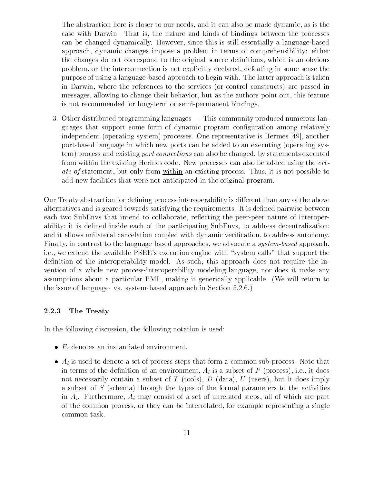The abstraction here is closer to our needs, and it can also be made dynamic, as is the case with Darwin. That is, the nature and kinds of bindings between the processes can be changed dynamically. However, since this is still essentially a language-based approach dynamic changes impose a problem in terms of comprehensibility- either the changes do not correspond to the original source definitions, which is an obvious problem, or the interconnection is not explicitly declared, defeating in some sense the purpose of using a language-based approach to begin with. The latter approach is taken in Darwin where the references to the services or control constructs are passed in messages, allowing to change their behavior, but as the authors point out, this feature is not recommended for long-term or semi-permanent bindings.

3. Other distributed programming languages — This community produced numerous languages that support some form of dynamic program configuration among relatively independent operating system processes One representative is Hermes another port-based language in which new ports can be added to an executing (operating system process and existing port connections can also be changed by statements executed from within the existing Hermes code New processes can also be added using the create of statement, but only from within an existing process. Thus, it is not possible to add new facilities that were not anticipated in the original program

Our Treaty abstraction for defining process-interoperability is different than any of the above alternatives and is geared towards satisfying the requirements. It is defined pairwise between each two SubEnvs that intend to collaborate, reflecting the peer-peer nature of interoperability; it is defined inside each of the participating SubEnvs, to address decentralization; and it allows unilateral cancelation coupled with dynamic verification, to address autonomy. Finally in contrast to the languagebased approaches we advocate a system-based approach i.e., we extend the available PSEE's execution engine with "system calls" that support the definition of the interoperability model. As such, this approach does not require the invention of a whole new process-interoperability modeling language, nor does it make any assumptions about a particular PML, making it generically applicable. (We will return to the issue of language vs. system-based approach in Section  $5.2.6$ .)

## 2.2.3 The Treaty

In the following discussion, the following notation is used:

- $\bullet$   $\,E_i$  denotes an instantiated environment.
- $\bullet$   $A_i$  is used to denote a set of process steps that form a common sub-process. Note that in terms of the denition of an environment Ai is a subset of <sup>P</sup> process ie it does not necessarily contained a subset of T (it data),  $\equiv$  (iterative), which is does implyed to the subset of  $\sim$ a subset of S  $\sim$  S  $\sim$  S  $\sim$  S  $\sim$  S  $\sim$  S  $\sim$  S  $\sim$  S  $\sim$  S  $\sim$  S  $\sim$  S  $\sim$  S  $\sim$  S  $\sim$  S  $\sim$  S  $\sim$  S  $\sim$  S  $\sim$  S  $\sim$  S  $\sim$  S  $\sim$  S  $\sim$  S  $\sim$  S  $\sim$  S  $\sim$  S  $\sim$  S  $\sim$  S  $\sim$  S  $\sim$  S  $\sim$  S  $\sim$ in  $A_i$ . Furthermore,  $A_i$  may consist of a set of unrelated steps, all of which are part of the common process or they can be interrelated for example representing a single common task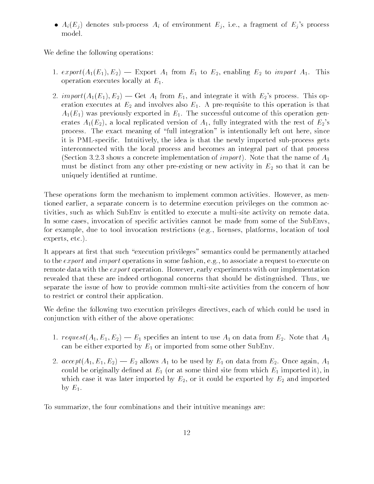$\bullet$   $A_i(E_i)$  denotes sub-process  $A_i$  of environment  $E_j$ , i.e., a fragment of  $E_j$  s process model

We define the following operations:

- export A from E-U (  $\pm$  ) . The from E-U from E-U (  $\pm$  ) is the E-U (  $\pm$  ) in this contract  $\pm$  ) . This contract  $\pm$ operation executes locally at  $E_1$ .
- important integrate it with  $\alpha$  is a from E-M integrated integrated integrated integrated integrated integrated in eration executive at E-Q presented and involves and institutes and present is there also experiments are that  $\mathbf{A}$  and  $\mathbf{B}$  are successful outcome of this operation generation generation generation generation generation generation generation generation generation generation generation generation generation generation gene erates are local integrated version of A function of A fully integrated with the rest of E-A function of E-A f process. The exact meaning of "full integration" is intentionally left out here, since it is PML-specific. Intuitively, the idea is that the newly imported sub-process gets interconnected with the local process and becomes an integral part of that process Section and the notation of the new concernstation of implementation of independent of  $\mathcal{A}_1$ must be distinct from any other preexisting or new activity in E- so that it can be uniquely identified at runtime.

These operations form the mechanism to implement common activities. However, as mentioned earlier, a separate concern is to determine execution privileges on the common activities, such as which SubEnv is entitled to execute a multi-site activity on remote data. In some cases, invocation of specific activities cannot be made from some of the SubEnvs, for example, due to tool invocation restrictions  $(e.g.,$  licenses, platforms, location of tool experts etc

It appears at first that such "execution privileges" semantics could be permanently attached to the *export* and *import* operations in some fashion, e.g., to associate a request to execute on remote data with the *export* operation. However, early experiments with our implementation revealed that these are indeed orthogonal concerns that should be distinguished. Thus, we separate the issue of how to provide common multisite activities from the concern of how to restrict or control their application

We define the following two execution privileges directives, each of which could be used in conjunction with either of the above operations-

- request and the contract to use  $\mathbb{R}^n$  . The contract to use  $\mathbb{R}^n$  and  $\mathbb{R}^n$  are the contract to use  $\mathbb{R}^n$ can be either exported by  $E_1$  or imported from some other SubEnv.
- accept a to be used by E-M-allows A to be used by E-M-allows A to be used by E-M-allows A to be used as  $\mathcal{A} = \mathcal{A} \times \mathcal{A}$ could be originally denote the E included at E importance in this correct in the importance in the imported it which case it was later imported by E-1 could be exported by E-1 could be exported by E-1 could be exported by by  $E_1$ .

To summarize, the four combinations and their intuitive meanings are: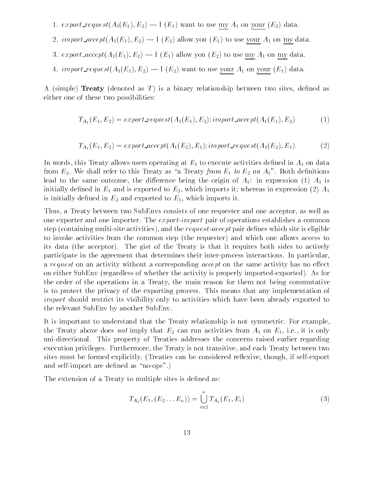export request to use my and the contract of the contract of the contract of the contract of the contract of the contract of the contract of the contract of the contract of the contract of the contract of the contract of t

- import and interest  $\{1,1,\cdots, l\}$  , and  $\{1,2,\cdots, l\}$  , and  $\{1,1,\cdots, l\}$  , and  $\{1,2,\cdots, l\}$  , and the set  $\{1,2,\cdots, l\}$
- export accepts to the control of the control of the control of the control of the control of the control of the
- import request  $\mu$  and  $\mu$  and  $\mu$  and  $\mu$  and  $\mu$  and  $\mu$

a treaty as the function of the sites as Treaty as Treaty as Treaty as Treaty as Treaty as Treaty as Treaty as either one of these two possibilities:

$$
T_{A_1}(E_1, E_2) = export\_request(A_1(E_1), E_2); import\_accept(A_1(E_1), E_2)
$$
\n
$$
(1)
$$

$$
T_{A_1}(E_1, E_2) = export\_accept(A_1(E_2), E_1); import\_request(A_1(E_2), E_1)
$$
\n(2)

In words, this Treaty allows users operating at  $E_1$  to execute activities defined in  $A_1$  on data from E- We shall refer to this Treaty as a Treaty from E to E- on A
 Both denitions lead to the same called the dieres being the origin of A-1, in the original  $\{ \bot \}$  of  $\{ \bot \}$ initially denomined in Eq. which is exported to E-A, which international whole the structure in the term to  $\mathbf{I}$ is initially dened in E- and exported to E which imports it

Thus, a Treaty between two SubEnvs consists of one requester and one acceptor, as well as one exporter and one importer. The *export-import* pair of operations establishes a common step activities are quite activities and the requestacle is eligible is eligible is eligible is eligible. to invoke activities from the common step  $\{100, 1000, 1000, 1000, 1000, 1000, 1000, 1000, 1000, 1000, 1000, 1000, 1000, 1000, 1000, 1000, 1000, 1000, 1000, 1000, 1000, 1000, 1000, 1000, 1000, 1000, 1000, 1000, 1000, 1000$ its data the acceptor  $\mathcal{M}$  acceptor to actively is the Treaty is that it requires both sides to active participate in the agreement that determines their inter-process interactions. In particular, a request on an activity without a corresponding  $accept$  on the same activity has no effect on either SubEnv regardless of whether the activity is properly in properly in properly in properly in properly the order of the operations in a Treaty, the main reason for them not being commutative is to protect the privacy of the exporting process This means that any implementation of import should restrict its visibility only to activities which have been already exported to the relevant SubEnv by another SubEnv

It is important to understand that the Treaty relationship is not symmetric. For example, the Treaty above does not imply that E- can run activities from A on E ie it is only uni-directional. This property of Treaties addresses the concerns raised earlier regarding execution privileges. Furthermore, the Treaty is not transitive, and each Treaty between two sites must be formed explicitly. (Treaties can be considered reflexive, though, if self-export and self-import are defined as "no-ops".)

The extension of a Treaty to multiple sites is defined as:

$$
T_{A_1}(E_1,(E_2...E_n)) = \bigcup_{i=2}^n T_{A_1}(E_1,E_i)
$$
\n(3)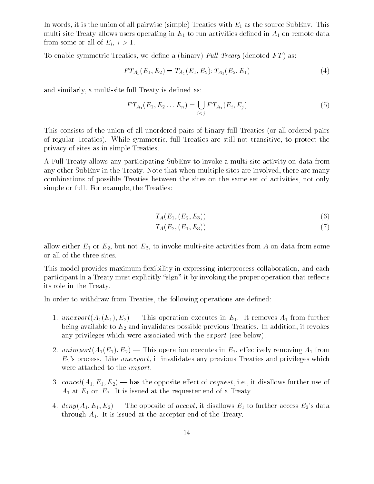In words it is the union of all pairwise  $\mathbf{I}$  as the source SubEnv This E as the source SubEnv This E as the source SubEnv This E as the source SubEnv This E as the source SubEnv This E as the source SubEnv This E as multi-site Treaty allows users operating in  $E_1$  to run activities defined in  $A_1$  on remote data from some or all of  $E_i$ ,  $i > 1$ .

To enable symmetric Treaty  $\mathbb{T}$  as a  $\mathbb{T}$  treaty  $\mathbb{T}$  treaty  $\mathbb{T}$  as a  $\mathbb{T}$  treaty  $\mathbb{T}$  as a  $\mathbb{T}$ 

$$
FT_{A_1}(E_1, E_2) = T_{A_1}(E_1, E_2); T_{A_1}(E_2, E_1)
$$
\n
$$
(4)
$$

and similarly, a multi-site full Treaty is defined as:

$$
FT_{A_1}(E_1, E_2... E_n) = \bigcup_{i < j} FT_{A_1}(E_i, E_j) \tag{5}
$$

This consists of the union of all unordered pairs of binary full Treaties (or all ordered pairs of regular Treaties While symmetric full Treaties are still not transitive to protect the privacy of sites as in simple Treaties

A Full Treaty allows any participating SubEnv to invokeamultisite activity on data from any other SubEnv in the Treaty. Note that when multiple sites are involved, there are many combinations of possible Treaties between the sites on the same set of activities not only simple or full. For example, the Treaties:

$$
T_A(E_1, (E_2, E_3)) \tag{6}
$$

$$
T_A(E_2, (E_1, E_3)) \tag{7}
$$

allow either E or E- $\mu$  and H or E to invoke multisite activities from some some some and some some some or all of the three sites

This model provides maximum flexibility in expressing interprocess collaboration, and each participant in a Treaty must explicitly "sign" it by invoking the proper operation that reflects its role in the Treaty

In order to withdraw from Treaties, the following operations are defined:

- under and a from the state in Eq. ( ) . The main the main function executive and the first and further and furth being available to E- and invalidates possible previous Treaties In addition it revokes any privileges which with with the exponential  $\mathcal{L}$  below  $\mathcal{L}$
- unimportation executively removing a fraction executive and the contract of the contract of the contract of th E-s process Like unexport it invalidates any previous Treaties and privileges which were attached to the *import*.
- cancel A E E- has the opposite eect of request ie it disallows further use of a at End and E-A at the requester end of a Treaty at the result of a Treaty of a
- deny A E E- The opposite of accept it disallows E to further access E-s data through  $A_1$ . It is issued at the acceptor end of the Treaty.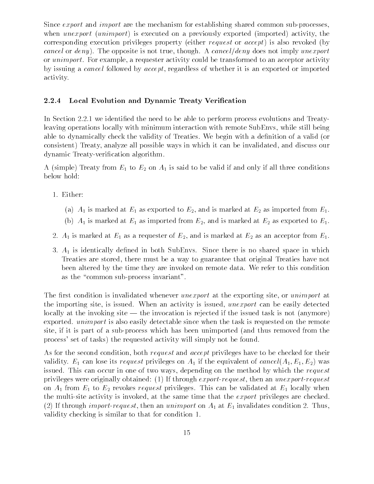Since  $\epsilon x$  port and *import* are the mechanism for establishing shared common sub-processes, when unexported on a previously exported on a previously exported on a previously exported  $\mathbf{u}$ corresponding the corresponding  $\rho$  is also property (the corresponding  $\rho$  is also represented  $\rho$ cancel or deny The opposite is not true though A canceldeny does not imply unexport or *unimport*. For example, a requester activity could be transformed to an acceptor activity by issuing a *cancel* followed by *accept*, regardless of whether it is an exported or imported activity

## 2.2.4 Local Evolution and Dynamic Treaty Verification

In Section 2.2.1 we identified the need to be able to perform process evolutions and Treatyleaving operations locally with minimum interaction with remote SubEnvs, while still being able to dynamically check the validity of Treaties. We begin with a definition of a valid (or consistent and possible ways in the possible way in the indicate the invariant interesting and discuss our cont dynamic Treaty-verification algorithm.

a a simple to the simple to the said to be valid if and one conditions to the conditions of all three conditions of the conditions of all three conditions of all three conditions of all three conditions of all three condit below hold:

- 1. Either:
	- $\{a,b,c\}$  are the exported to E-I and is made at E-I and in the exponential to E-I and imported from E-I and
	- b A is marked at E as imported from E- and is marked at E- as exported to E
- A is matched at E as a requester of E-I and is matched at E-I and is matched at E-I and is matched at E-I and is matched at E-I and is matched at E-I and is matched at E-I and is matched at E-I and is matched at E-I and i
- 3.  $A_1$  is identically defined in both SubEnvs. Since there is no shared space in which Treaties are stored, there must be a way to guarantee that original Treaties have not been altered by the time they are invoked on remote data We refer to this condition as the "common sub-process invariant".

The first condition is invalidated whenever unexport at the exporting site, or unimport at the importing site, is issued. When an activity is issued, unexport can be easily detected locally at the invoking site  $-$  the invocation is rejected if the issued task is not  $(anymore)$ exported *unimport* is also easily detectable since when the task is requested on the remote site, if it is part of a sub-process which has been unimported (and thus removed from the process set of tasks set of tasks set of tasks and the requested activity will simply not be found to  $f$ 

As for the second condition, both request and accept privileges have to be checked for their validity E can lose its request privileges its request on a if the equivalent of cancel (191) to 1974 / 1977 – issued. This can occur in one of two ways, depending on the method by which the request privileges were explored through exponents and unexported and the privileges then an unexported the processes on A from E to E-from E to E-from E to E-from E locally when  $\mathcal{A}$ the multi-site activity is invoked, at the same time that the  $\epsilon xport$  privileges are checked. If the second important through internal second and unimportant on A at E invalidates condition and the condition of validity checking is similar to that for condition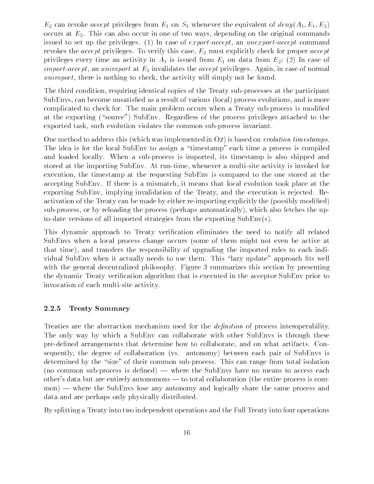E- can revoke accept privileges from E on S whenever the equivalent of deny A E E occurs at E-F-in occurs at E-F-in one of two ways depending on the original community of the original community of the original community of the original community of the original community of the original community of th issued to set up the privileges In case of exportaccept an unexportaccept command revokes the accept privileges To verify this case E- must explicitly check for proper accept privileges in A is in a series in the from  $\mathcal{L}_1$  is issued from E one  $\mathcal{L}_1$  is the from E-O on  $\mathcal{L}_2$  is in the from E-O on  $\mathcal{L}_2$ importaccept an unimport at E- invalidates the accept privileges Again in case of normal unimport, there is nothing to check, the activity will simply not be found.

The third condition, requiring identical copies of the Treaty sub-processes at the participant submatised as a result of various can be a result of various  $\mu$  results and is more than  $\mu$  and is more than complicated to check for. The main problem occurs when a Treaty sub-process is modified at the exporting ( ) showed ( ) which are going to the process process attached to the contract of the process of  $\mathcal{S}$ exported task, such evolution violates the common sub-process invariant.

One method to address the timestamps that we have in Ozero timestamps in Ozero timestamps the timestamps of th The idea is for the local SubEnv to assign a "timestamp" each time a process is compiled and loaded locally. When a sub-process is imported, its timestamp is also shipped and stored at the importing SubEnv. At run-time, whenever a multi-site activity is invoked for execution, the timestamp at the requesting SubEnv is compared to the one stored at the accepting SubEnv. If there is a mismatch, it means that local evolution took place at the exporting SubEnv, implying invalidation of the Treaty, and the execution is rejected. Reactivation of the Treaty can be made by either re-importing explicitly the  $($  possibly modified $)$ subprocess or by reloading the process perhaps automatically which also fetches the up to date versions of all imported strategies from the exporting SubEnvalley, I

This dynamic approach to Treaty verification eliminates the need to notify all related SubEnvs when a local process change occurs (some of them might not even be active at that times, that times the rules the imported rules to upgrading the imported rules to each indice vidual SubEnv when it actually needs to use them. This "lazy update" approach fits well with the general decentralized philosophy. Figure 3 summarizes this section by presenting the dynamic Treaty verification algorithm that is executed in the acceptor SubEnv prior to invocation of each multi-site activity.

#### 2.2.5 Treaty Summary

Treaties are the abstraction mechanism used for the *definition* of process interoperability. The only way by which a SubEnv can collaborate with other SubEnvs is through these predened arrangements that determine how to collaborate and on what artifacts Con sequently the degree of collaboration  $\mathcal{W}$ determined by the "size" of their common sub-process. This can range from total isolation no common subprocess is denoted by the SubEnvs have no means to access to access each of the SubEnvs have no m other's data but are entirely autonomous  $-$  to total collaboration (the entire process is common where the SubEnvs lose any autonomy and logically share the same process and data and are perhaps only physically distributed

By splitting a Treaty into two independent operations and the Full Treaty into four operations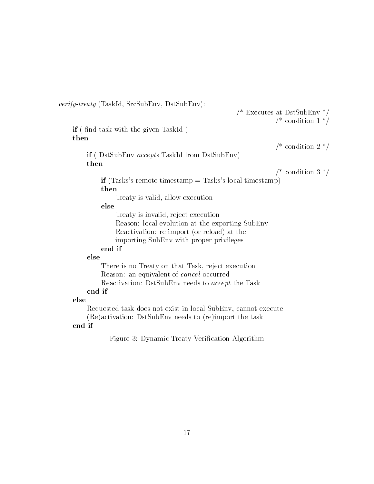treaty of the stream contract the state of the stream of the stream of the stream of the stream of the stream of the stream of the stream of the stream of the stream of the stream of the stream of the stream of the stream

/\* Executes at DstSubEnv \*/ /\* condition  $1*/$  $if (find task with the given TaskId)$ /\* condition  $2*/$  $\mathbf{if}$  (DstSubEnv accepts TaskId from DstSubEnv) then /\* condition  $3*/$ **if** (Tasks's remote timestamp  $=$  Tasks's local timestamp) then Treaty is valid, allow execution else Treaty is invalid, reject execution Reason- local evolution at the exporting SubEnv at the correlation of the political property at the correlation of the correlation of the correlation of the c importing SubEnv with proper privileges end if else There is no Treaty on that Task, reject execution

, and a society of cancel or an except of cancel or an except of cancel or an except of cancel or an except of reactive that the Task to accept the Task to accept the Task the Task to accept the Task to accept the Task to

## end if

## else

then

Requested task does not exist in local SubEnv, cannot execute  $\mathcal{N} = \mathcal{N}$  important the tasks to  $\mathcal{N} = \mathcal{N}$  in the tasks to  $\mathcal{N} = \mathcal{N}$ 

## end if

Figure - Dynamic Treaty Verication Algorithm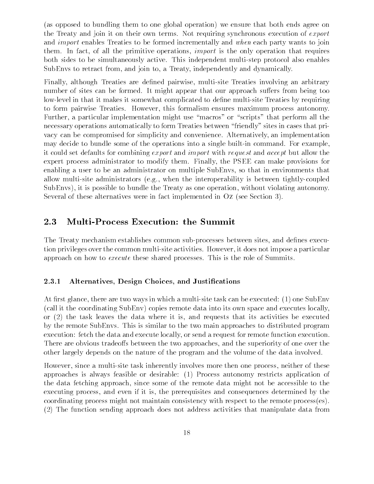as opposed to bundling them to one global operation we ensure that both ends agree on the Treaty and join it on their own terms. Not requiring synchronous execution of  $\epsilon x$  port and *import* enables Treaties to be formed incrementally and when each party wants to join them. In fact, of all the primitive operations, *import* is the only operation that requires both sides to be simultaneously active. This independent multi-step protocol also enables SubEnvs to retract from, and join to, a Treaty, independently and dynamically.

Finally, although Treaties are defined pairwise, multi-site Treaties involving an arbitrary number of sites can be formed. It might appear that our approach suffers from being too low-level in that it makes it somewhat complicated to define multi-site Treaties by requiring to form pairwise Treaties. However, this formalism ensures maximum process autonomy. Further, a particular implementation might use "macros" or "scripts" that perform all the necessary operations automatically to form Treaties between "friendly" sites in cases that privacy can be compromised for simplicity and convenience Alternatively an implementation may decide to bundle some of the operations into a single built-in command. For example, it could set defaults for combining export and import with request and accept but allow the expert process administrator to modify them. Finally, the PSEE can make provisions for enabling a user to be an administrator on multiple SubEnvs so that in environments that allow multi-site administrators  $(e.g.,$  when the interoperability is between tightly-coupled SubEnvs it is possible to bundle the Treaty as one operation without violating autonomy Several of these alternatives were in fact implemented in  $OZ$  (see Section 3).

#### 2.3 Multi-Process Execution: the Summit

The Treaty mechanism establishes common sub-processes between sites, and defines execution privileges over the common multi-site activities. However, it does not impose a particular approach on how to *execute* these shared processes. This is the role of Summits.

#### 2.3.1 Alternatives, Design Choices, and Justifications

 $\Lambda$  rst glance there are two ways in whichamultisite task can be executed-with  $\Lambda$  $\mathcal{L}$  $\mathcal{N}$  . The data where it is and requests that its and requests that its and requests that its activities be executed its activities be executed its activities be executed its activities be executed its activities be e by the remote SubEnvs. This is similar to the two main approaches to distributed program execution-data and execution-data and execution-data and execution-data and execution-data and execution execution There are obvious tradeoffs between the two approaches, and the superiority of one over the other largely depends on the nature of the program and the volume of the data involved

However, since a multi-site task inherently involves more then one process, neither of these approaches is always feasible or desirable- Process autonomy restricts application of the data fetching approach, since some of the remote data might not be accessible to the executing process, and even if it is, the prerequisites and consequences determined by the coordinating process might not maintain composition ( ) with respect to the remote process ( ) . The function sending approach does not address activities that manipulate data from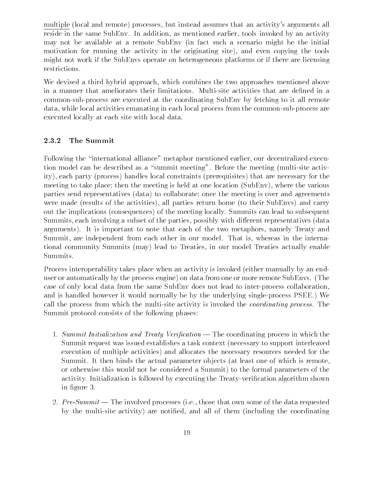multiple local and remote processes but instead assumes that an activitys arguments all reside in the same SubEnv. In addition, as mentioned earlier, tools invoked by an activity may not be available at a remote SubEnv (in fact such a scenario might be the initial motivation for running the activity in the originating site and even copying the tools might not work if the SubEnvs operate on heterogeneous platforms or if there are licensing restrictions

We devised a third hybrid approach, which combines the two approaches mentioned above in a manner that ameliorates their limitations. Multi-site activities that are defined in a common-sub-process are executed at the coordinating SubEnv by fetching to it all remote data, while local activities emanating in each local process from the common-sub-process are executed locally at each site with local data

## 2.3.2 The Summit

Following the "international alliance" metaphor mentioned earlier, our decentralized execution model can be described as a "summit meeting". Before the meeting (multi-site activity, it constraints are necessary for the constraints of the constraints of the constraints of the constraints meeting to take place the meeting is held at one location  $\mathcal{M}$ parties send representatives  $\mathbf x$  and agreements is over an agreements in the meeting is over an agreements in were made your move of the activities  $\mu$  and  $\mu$  and of the activities  $\mu$  is the carry  $\mu$  and  $\mu$ out the implications (consequences) as the meeting locally subsequently subsequently subsequently developed to Summits, each involving a subset of the parties, possibly with different representatives (data arguments, it is important to metaphors that each of the two metaphors namely Treaty Treaty and Summit, are independent from each other in our model. That is, whereas in the international community Summits (may ) community actually model Treaties and the model Treaties actually enables actu Summits

Process interoperability takes place when an activity is invoked (either manually by an endwas are non-commentary by the process engines, and noted characteristic continuous process  $\mathcal{L}$ case of only local data from the same SubEnv does not lead to inter-process collaboration. and is hardled however it would not underlying singleprocess  $\mathcal{A}$  and underlying single-process PSEE  $\mathcal{A}$ call the process from which the multi-site activity is invoked the *coordinating process*. The Summit protocol consists of the following phases-

- 1. Summit Initialization and Treaty Verification  $-$  The coordinating process in which the Summit request was issued establishes a task context (necessary to support interleaved execution of multiple activities, and allocates the necessary resources needed for the new the Summit. It then binds the actual parameter objects (at least one of which is remote, or otherwise this would not be considered a Summit to the formal parameters of the activity. Initialization is followed by executing the Treaty-verification algorithm shown in figure 3.
- Pre-Summit The involved processes ie those that own some of the data requested by the multisite activity are notied and all of them including the coordinating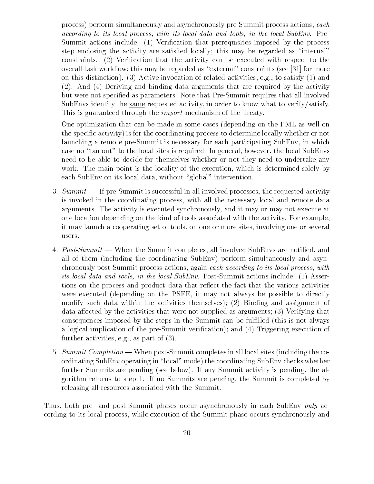process perform simultaneously and asynchronously preSummit process actions each according to its local process, with its local data and tools, in the local  $SubEnv$ . Presummit actions includes in the presentation that present presents in the present process. step enclosing the activity are satisfied locally; this may be regarded as "internal" constraints  $\{\pm\}$  that the activity can be executed with respect to the constraints of the constraints of the constraints of the constraints of the constraints of the constraints of the constraints of the constraints of overall task workflow; this may be regarded as "external" constraints (see [31] for more on this distinction of relation of relation of relation of relation of relationships and relationships of relationships of relationships of relationships are distinct of relationships of relationships are distinct of relat  $\overline{\phantom{a}}$ but were not specified as parameters. Note that Pre-Summit requires that all involved SubEnvs identify the same requested activity, in order to know what to verify/satisfy. This is guaranteed through the *import* mechanism of the Treaty.

One optimization that can be made in some cases depending on the PML as well on the specific activity , is for the coordinational process to determine is constanted at the coordination launching a remote pre-Summit is necessary for each participating SubEnv, in which case no "fan-out" to the local sites is required. In general, however, the local SubEnvs need to be able to decide for themselves whether or not they need to undertake any work. The main point is the locality of the execution, which is determined solely by each SubEnv on its local data, without "global" intervention.

- 3.  $Summit$   $\equiv$  If pre-Summit is successful in all involved processes, the requested activity is invoked in the coordinating process with all the necessary local and remote data arguments The activity is executed synchronously and it may or may not execute at one location depending on the kind of tools associated with the activity. For example, it may launch a cooperating set of tools, on one or more sites, involving one or several users
- Post-Summit When the Summit completes all involved SubEnvs are notied and all of the coordinating the coordinating SubEnville SubEnville SubEnville SubEnville SubEnville SubEnville Sub chronously post-Summit process actions, again each according to its local process, with its local data and tools in the local SubEnv PostSummit actions include- Asser tions on the process and product data that reflect the fact that the various activities were executed (depending on the PSEE, it may not always be possible to directly modify such data with the activities the activities themselves themselves themselves themselves themselves the data alected by the activities that were not supplied as arguments  $\mathcal{A}$  , were that  $\mathcal{A}$  that consequences imposed by the steps in the Summit can be fullled this is not always a logical implication of the preSummit verifies of the preSummit verifies of the preSummit verifies of the pre further activities eg as part of
- 5. Summit Completion When post-Summit completes in all local sites (including the co- $\mathcal{L}$  is the coordination operating in the coordination of  $\mathcal{L}$ further Summits are pending are performed by the algebra  $S$  and all  $\mathcal{S}$  and all  $\mathcal{S}$ gorithm returns to step If no Summits are pending the Summit is completed by releasing all resources associated with the Summit

Thus, both pre- and post-Summit phases occur asynchronously in each SubEnv only according to its local process while execution of the Summit phase occurs synchronously and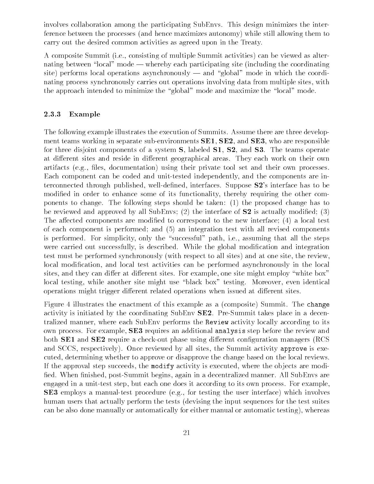involves collaboration among the participating SubEnvs This design minimizes the inter ference between the processes and hence maximizes autonomy while still allowing them to carry out the desired common activities as agreed upon in the Treaty

A composite Summit activities  $\mathcal{M}$  consisting of multiple Summit activities  $\mathcal{M}$ nating between "local" mode — whereby each participating site (including the coordinating site performs local operations asynchronously and global
 mode in which the coordi nating process synchronously carries out operations involving data from multiple sites with the approach intended to minimize the "global" mode and maximize the "local" mode.

## 2.3.3 Example

The following example illustrates the execution of Summits. Assume there are three development teams working in separate sub-environments  $SE1, SE2$ , and  $SE3$ , who are responsible for three disjoint components of a system  $S$ , labeled  $S1$ ,  $S2$ , and  $S3$ . The teams operate at different sites and reside in different geographical areas. They each work on their own artifacts eg les documentation using their private tool set and their own processes Each component can be coded and unit-tested independently, and the components are interconnected through published, well-defined, interfaces. Suppose  $S2$ 's interface has to be modified in order to enhance some of its functionality, thereby requiring the other composession to changer the following steps should be the following proposed change has to the be reviewed and approved by all SubEnver of the interface of SubEnver and SubEnver and SubEnver of S The aected components are modied to correspond to the new interface a local test of each component is performed and with  $\{ \cdot \}$  and  $\{ \cdot \}$  and  $\{ \cdot \}$  all results with all revised components is performed. For simplicity, only the "successful" path, i.e., assuming that all the steps were carried out successfully, is described. While the global modification and integration test must be performed synchronously (with respect to all sites in the review of  $\alpha$ local modification, and local test activities can be performed asynchronously in the local sites, and they can differ at different sites. For example, one site might employ "white box" local testing, while another site might use "black box" testing. Moreover, even identical operations might trigger different related operations when issued at different sites.

Figure illustrates the enactment of this example as a  $\Gamma$  -composite as a  $\Gamma$ activity is initiated by the coordinating SubEnv  $SE2$ . Pre-Summit takes place in a decentralized manner, where each SubEnv performs the Review activity locally according to its own process. For example, **SE3** requires an additional analysis step before the review and both  $SE1$  and  $SE2$  require a check-out phase using different configuration managers (RCS and SCCs respectively. The Summit activity approve is executively approve in the Summit activity approve is executed cuted, determining whether to approve or disapprove the change based on the local reviews. If the approval step succeeds, the modify activity is executed, where the objects are modified. When finished, post-Summit begins, again in a decentralized manner. All SubEnvs are engaged in a unit-test step, but each one does it according to its own process. For example. SE employs a manualtest procedure eg for testing the user interface which involves human users that actually perform the tests (devising the input sequences for the test suites can be also done manually or automatically for either manual or automatic testing whereas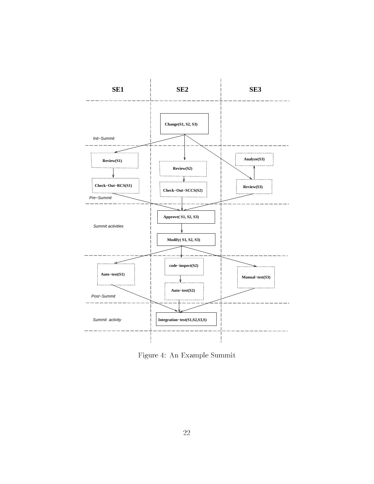

Figure - An Example Summit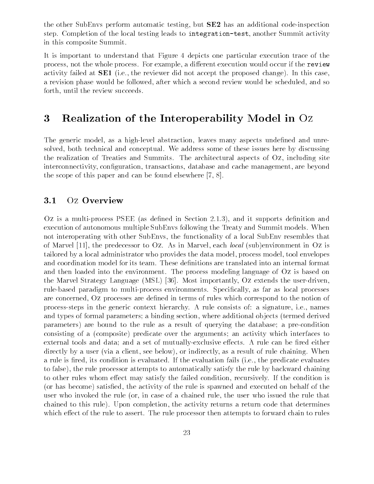the other SubEnvs perform automatic testing, but  $SE2$  has an additional code-inspection step Completion of the local testing leads to integration-test another Summit activity in this composite Summit

It is important to understand that Figure 4 depicts one particular execution trace of the process, not the whole process. For example, a different execution would occur if the review activity failed at SE  $\sim$  100  $\pm$  100  $\pm$  100  $\pm$  100  $\pm$  100  $\pm$  100  $\pm$  100  $\pm$  100  $\pm$ a revision phase would be followed, after which a second review would be scheduled, and so forth, until the review succeeds.

# 3 Realization of the Interoperability Model in Oz

The generic model, as a high-level abstraction, leaves many aspects undefined and unresolved, both technical and conceptual. We address some of these issues here by discussing the realization of Treaties and Summits. The architectural aspects of Oz, including site interconnectivity, configuration, transactions, database and cache management, are beyond the scope of this paper and can be found elsewhere  $[7, 8]$ .

#### $3.1$ Oz Overview

, or is a multiprocess recent in Section in Section 2018, which is a support of Section 2018. execution of autonomous multiple SubEnvs following the Treaty and Summit models. When not interoperating with other SubEnvs the functionality of a local SubEnv resembles that of Marcus in party the predecessor to Ozi As in Marvel each local in Mary Local Daniel each Oz is the United tailored by a local administrator who provides the data model, process model, tool envelopes and coordination model for its team. These definitions are translated into an internal format and then loaded into the environment. The process modeling language of Oz is based on the Marcus Strategy <del>Language (Mars)</del> Included the users the user the user the user the user the user the user th rule-based paradigm to multi-process environments. Specifically, as far as local processes are concerned, Oz processes are defined in terms of rules which correspond to the notion of processsteps in the generic context hierarchy A rule consists of- a signature ie names and types of formal parameters; a binding section, where additional objects (termed derived parameters are bound to the rule as a result of querying the database a precondition consisting of a component and arguments and activity which interfaces the arguments and activity which interfaces to external tools and data; and a set of mutually-exclusive effects. A rule can be fired either directly by a user  $\mathcal{U}$  and  $\mathcal{U}$  as a result of rule chaining When  $\mathcal{U}$ a rule is fired, its condition is evaluated. If the evaluation fails (i.e., the predicate evaluates to false the rule processor attempts to automatically satisfy the rule by backward chaining to other rules whom effect may satisfy the failed condition, recursively. If the condition is  $\mathbf{v}$  , the activity of the activity of the rule is spawned and executive on behalf on behalf on behalf on behalf or the rule is spawned on behalf or the rule is spawned on behalf or the rule is spawned on behalf or th user who invoked the rule (or, in case of a chained rule, the user who issued the rule that chained to this rule Upon completion the activity returns a return code that determines which effect of the rule to assert. The rule processor then attempts to forward chain to rules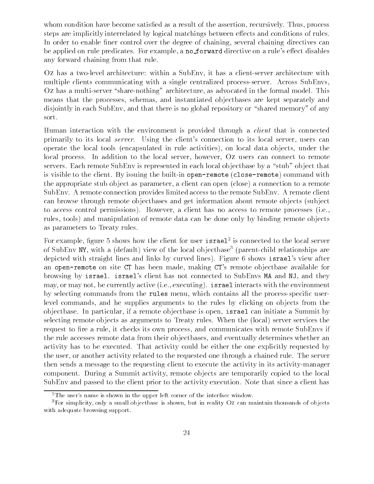whom condition have become satisfied as a result of the assertion, recursively. Thus, process steps are implicitly interrelated by logical matchings between effects and conditions of rules. In order to enable finer control over the degree of chaining, several chaining directives can be applied on rule predicates. For example, a no forward directive on a rule's effect disables any forward chaining from that rule

, with a two two transitions are distinct that a substitute within a clients are clients and clients with  $\alpha$ multiple clients communicating with a single centralized process-server. Across SubEnvs, Oz has a multi-server "share-nothing" architecture, as advocated in the formal model. This means that the processes, schemas, and instantiated objectbases are kept separately and disjointly in each SubEnv, and that there is no global repository or "shared memory" of any sort

Human interaction with the environment is provided through a client that is connected primarily to its local server. Using the client's connection to its local server, users can operate the rule tools (sheelps hills in rule activities), who rules activities and the state the contract of local process. In addition to the local server, however, Oz users can connect to remote servers. Each remote SubEnv is represented in each local objectbase by a "stub" object that is visible to the client By issuing the built in open-pair  $\epsilon$  and  $\epsilon$  of  $\epsilon$  and  $\epsilon$  is a common visible  $\epsilon$ the appropriate stub ob ject as parameter a client can open close a connection to a remote SubEnv. A remote connection provides limited access to the remote SubEnv. A remote client can browse through remote objectbases and get information about remote objects (subject to access control permissions However a client has no access to remote processes ie rules tools and manipulation of remote data can be done only by binding remote ob jects as parameters to Treaty rules

For example, iigure  $\sigma$  shows how the client for user  $1$ s $r$ ae $1^-$  is connected to the local server of SubEnv NY, with a (default) view of the local objectbase (parent-child relationships are depicted with straight lines and links by curved lines Figure shows israels view after an open-remote on site CT has been made making CTs remote ob jectbase available for browsing by israel. israel's client has not connected to SubEnvs MA and NJ, and they may actively from a currently active  $\{1, 1\}$  and the environment  $\{1, 1\}$  with the environment  $\{1, 1\}$ by selecting commands from the rules menu, which contains all the process-specific userlevel commands, and he supplies arguments to the rules by clicking on objects from the ob jectbase In particular if a remote ob jectbase is open israel can initiate a Summit by selecting remote as jects as arguments to Treaty rules when the  $\mu$  rules when the  $\mu$ request to fire a rule, it checks its own process, and communicates with remote SubEnvs if the rule accesses remote data from their ob jectbases and eventually determines whether an activity has to be executed. That activity could be either the one explicitly requested by the user, or another activity related to the requested one through a chained rule. The server then sends a message to the requesting client to execute the activity in its activitymanager component. During a Summit activity, remote objects are temporarily copied to the local SubEnv and passed to the client prior to the activity execution Note that since a client has

<sup>-</sup>The users name is shown in the upper left corner of the interface window-

<sup>&</sup>lt;sup>3</sup>For simplicity, only a small objectbase is shown, but in reality Oz can maintain thousands of objects with adequate browsing support.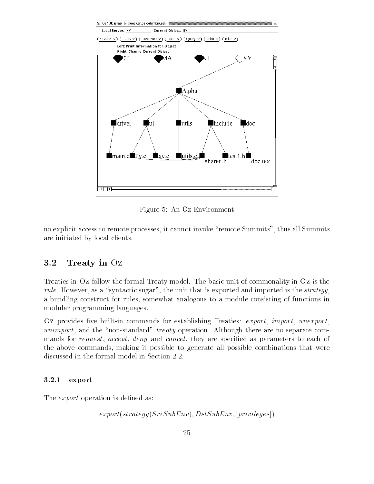

Figure - An Oz Environment

no explicit access to remote processes, it cannot invoke "remote Summits", thus all Summits are initiated by local clients

# 3.2 Treaty in Oz

Treaties in Oz follow the formal Treaty model The basic unit of commonality in Oz is the rule. However, as a "syntactic sugar", the unit that is exported and imported is the *strategy*, a bundling construct for rules, somewhat analogous to a module consisting of functions in modular programming languages

oz provides for extreme the communities for establishing treaties for export in export in the separate of unimport, and the "non-standard" *treaty* operation. Although there are no separate commands for request, accept, deny and cancel, they are specified as parameters to each of the above commands, making it possible to generate all possible combinations that were discussed in the formal model in Section 2.2.

## $3.2.1$  export

The *export* operation is defined as:

exports the strategy of the strategy of the strategy of the strategy of the strategy of the strategy of the str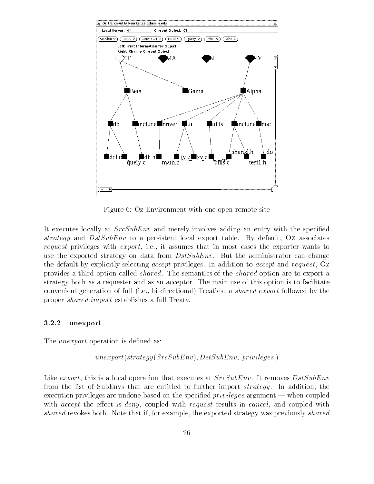

Figure - Oz Environment with one open remote site

It executes locally at  $SrcSubEnv$  and merely involves adding an entry with the specified strategy and  $DstSubEnv$  to a persistent local export table. By default, Oz associates request privileges with export, i.e., it assumes that in most cases the exporter wants to use the exported strategy on data from  $DstSubEnv$ . But the administrator can change the default by explicitly selecting accept privileges. In addition to accept and request, Oz provides a third option called shared The semantics of the shared option are to export a strategy both as a requester and as an acceptor. The main use of this option is to facilitate convenient generation of full converted by the full of the shared by the shared of the shared of the shared of proper shared import establishes a full Treaty

#### 3.2.2 unexport

The *unexport* operation is defined as:

unexport of the state of the state of the state of the state of the state of the state of the state of the state of the state of the state of the state of the state of the state of the state of the state of the state of th

Like export, this is a local operation that executes at  $SrcSubEnv$ . It removes  $DstSubEnv$ from the list of SubEnvs that are entitled to further import *strategy*. In addition, the execution privileges are undone based on the specified  $privileges$  argument — when coupled with accept the effect is  $deny$ , coupled with request results in cancel, and coupled with shared revokes both. Note that if, for example, the exported strategy was previously shared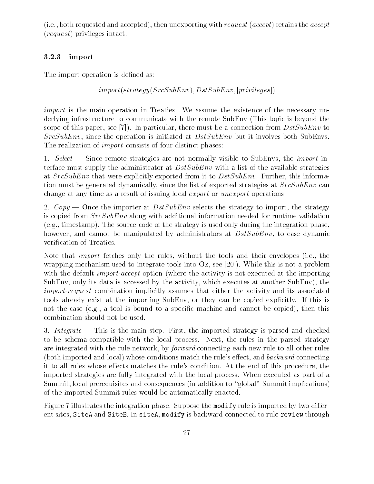ie both requested and accepted then unexporting with request accept retains the accept request privileges intact

## 3.2.3 import

The import operation is defined as:

important port of the contract of the contract of the contract of the contract of the contract of the contract of the contract of the contract of the contract of the contract of the contract of the contract of the contract

import is the main operation in Treaties. We assume the existence of the necessary underlying infrastructure to communicate with the remote SubEnv (This topic is beyond the scope of this paper see In particular there must be a connection from DstSubEnv to  $SrcSubEnv$ , since the operation is initiated at  $DstSubEnv$  but it involves both SubEnvs. The realization of *import* consists of four distinct phases:

1. Select  $\frac{S}{s}$  Since remote strategies are not normally visible to SubEnvs, the *import* interface must supply the administrator at  $DstSubEnv$  with a list of the available strategies at  $SrcSubEnv$  that were explicitly exported from it to  $DstSubEnv$ . Further, this information must be generated dynamically, since the list of exported strategies at  $SrcSubEnv$  can change at any time as a result of issuing local export or unexport operations.

2.  $Copy$   $\rightarrow$  Once the importer at  $DstSubEnv$  selects the strategy to import, the strategy is copied from  $SrcSubEnv$  along with additional information needed for runtime validation eg timestamp The sourcecode of the strategy is used only during the integration phase however, and cannot be manipulated by administrators at  $DstSubEnv$ , to ease dynamic verification of Treaties.

Note that *import* fetches only the rules, without the tools and their envelopes  $(i.e., the$ wrapping mechanism used to integrate to into Ozione into Oz see the second into the problem. with the default *import-accept* option (where the activity is not executed at the importing SubEnv only its data is accessed by the activity which executes at another SubEnv the import-request combination implicitly assumes that either the activity and its associated tools already exist at the importing SubEnv, or they can be copied explicitly. If this is not the case  $\{ \cdot \cdot, \cdot \}$  is bound to a specie of the cannot be considered the copies  $\{ \cdot \}$  then the compo combination should not be used

3. Integrate  $-$  This is the main step. First, the imported strategy is parsed and checked to be schema-compatible with the local process. Next, the rules in the parsed strategy are integrated with the rule network, by *forward* connecting each new rule to all other rules both imported and local whose conditions match the rules eect and backward connecting it to all rules whose effects matches the rule's condition. At the end of this procedure, the imported strategies are fully integrated with the local process When executed as part of a Summit, local prerequisites and consequences (in addition to "global" Summit implications) of the imported Summit rules would be automatically enacted

Figure  $\bar{\tau}$  illustrates the integration phase. Suppose the modify rule is imported by two different sites, SiteA and SiteB. In siteA, modify is backward connected to rule review through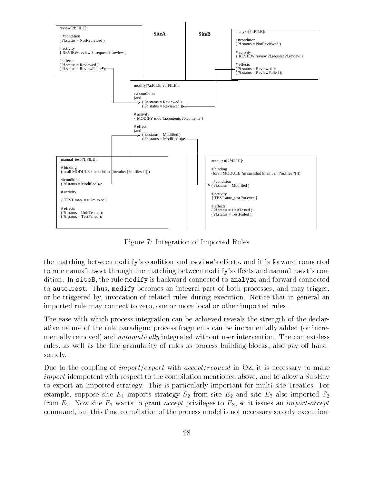

Figure - Integration of Imported Rules

the matching between modify's condition and review's effects, and it is forward connected to rule manual test through the matching between modify's effects and manual test's condition. In siteB, the rule modify is backward connected to analyze and forward connected to auto\_test. Thus, modify becomes an integral part of both processes, and may trigger, or be triggered by invocation of related rules during execution Notice that in general an imported rule may connect to zero, one or more local or other imported rules.

The ease with which process integration can be achieved reveals the strength of the declar ative nature of the rule paradigm- process fragments can be incrementally added or incre mentally removed and automatically integrated without user intervention The contextless rules, as well as the fine granularity of rules as process building blocks, also pay off handsomely

Due to the coupling of *import*/*export* with *accept/request* in Oz, it is necessary to make import idempotent with respect to the compilation mentioned above, and to allow a SubEnv to export an imported strategy. This is particularly important for multi-site Treaties. For example suppose site E-1 important strategy S-2 important strategy strategy important that including S-2 from E- Now site E wants to grant accept privileges to E so it issues an importaccept command, but this time compilation of the process model is not necessary so only execution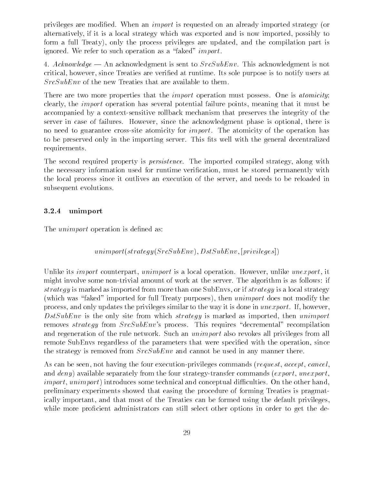privileges are modified. When an *import* is requested on an already imported strategy (or alternatively, if it is a local strategy which was exported and is now imported, possibly to form a full Treaty only the process privileges are updated and the compilation part is ignored. We refer to such operation as a "faked" *import*.

4. Acknowledge  $-$  An acknowledgment is sent to  $SrcSubEnv$ . This acknowledgment is not critical, however, since Treaties are verified at runtime. Its sole purpose is to notify users at  $SrcSubEnv$  of the new Treaties that are available to them.

There are two more properties that the *import* operation must possess. One is *atomicity*; clearly, the *import* operation has several potential failure points, meaning that it must be accompanied by a context-sensitive rollback mechanism that preserves the integrity of the server in case of failures. However, since the acknowledgment phase is optional, there is no need to guarantee cross-site atomicity for *import*. The atomicity of the operation has to be preserved only in the importing server. This fits well with the general decentralized requirements

The second required property is *persistence*. The imported compiled strategy, along with the necessary information used for runtime verification, must be stored permanently with the local process since it outlives an execution of the server and needs to be reloaded in subsequent evolutions.

## 3.2.4 unimport

The *unimport* operation is defined as:

#### university and the strategy of the strategy of the strategy and the strategy of the strategy of the strategy of

Unlike its *import* counterpart, *unimport* is a local operation. However, unlike *unexport*, it might involved some none and the server that are the server the server The algorithm is as followsstrategy is marked as imported from more than one SubEnvs, or if strategy is a local strategy which was a factor that the state was the purpose  $\mu$  then unimportance and the state  $\mu$  then process, and only updates the privileges similar to the way it is done in  $unexport$ . If, however,  $DstSubEnv$  is the only site from which strategy is marked as imported, then unimport removes  $strategy$  from  $SrcSubEnv$ 's process. This requires "decremental" recompilation and regeneration of the rule network. Such an *unimport* also revokes all privileges from all remote SubEnvs regardless of the parameters that were specified with the operation, since the strategy is removed from  $SrcSubEnv$  and cannot be used in any manner there.

As can be seen, not having the four execution-privileges commands  $(request, accept, cancel,$ and deny available separately from the four strategytransfer commands export unexport import unimport introduces some technical and conceptual diculties On the other hand preliminary experiments showed that easing the procedure of forming Treaties is pragmat ically important, and that most of the Treaties can be formed using the default privileges, while more proficient administrators can still select other options in order to get the de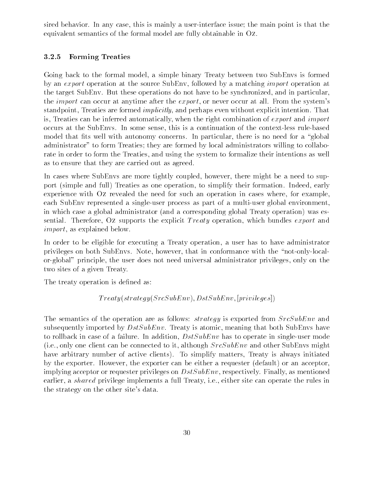sired behavior. In any case, this is mainly a user-interface issue; the main point is that the equivalent semantics of the formal model are fully obtainable in Oz

#### 3.2.5 Forming Treaties

Going back to the formal model a simple binary Treaty between two SubEnvs is formed by an export operation at the source SubEnv, followed by a matching *import* operation at the target SubEnv. But these operations do not have to be synchronized, and in particular, the *import* can occur at anytime after the *export*, or never occur at all. From the system's standpoint, Treaties are formed *implicitly*, and perhaps even without explicit intention. That is, Treaties can be inferred automatically, when the right combination of export and import occurs at the SubEnvs. In some sense, this is a continuation of the context-less rule-based model that fits well with autonomy concerns. In particular, there is no need for a "global" administrator" to form Treaties; they are formed by local administrators willing to collaborate in order to form the Treaties, and using the system to formalize their intentions as well as to ensure that they are carried out as agreed

In cases where SubEnvs are more tightly coupled, however, there might be a need to sup- $\mathbf s$  and full and full and full and full and full and full and full and full and full and full and full and full and full and full and full and full and full and full and full and full and full and full and full and ful experience with Oz revealed the need for such an operation in cases where, for example, each SubEnv represented a single-user process as part of a multi-user global environment. in which case a global administrator and a corresponding global Treaty operations was estimated to sential. Therefore, Oz supports the explicit  $Treaty$  operation, which bundles export and import, as explained below.

In order to be eligible for executing a Treaty operation a user has to have administrator privileges on both SubEnvs. Note, however, that in conformance with the "not-only-localor-global" principle, the user does not need universal administrator privileges, only on the two sites of a given Treaty

The treaty operation is defined as:

## The strategy of the strategy  $\mathcal{S}$  and  $\mathcal{S}$  are strategy of the strategy of the strategy of the strategy of the strategy of the strategy of the strategy of the strategy of the strategy of the strategy of the strate

the semantics of the operation are as follows-strategy is employeed from SrcSubEnv and Src subsequently imported by  $DstSubEnv$ . Treaty is atomic, meaning that both SubEnvs have to rollback in case of a failure. In addition,  $DistSubEnv$  has to operate in single-user mode (i.e., only one client can be connected to it, although  $SrcSubEnv$  and other SubEnvs might have arbitrary number of active clients To simplify matters Treaty is always initiated by the exporter However the exponential can be either a requester  $\Lambda$  . The either a requester  $\Lambda$ implying acceptor or requester privileges on  $DstSubEnv$ , respectively. Finally, as mentioned earlier, a *shared* privilege implements a full Treaty, i.e., either site can operate the rules in the strategy on the other site's data.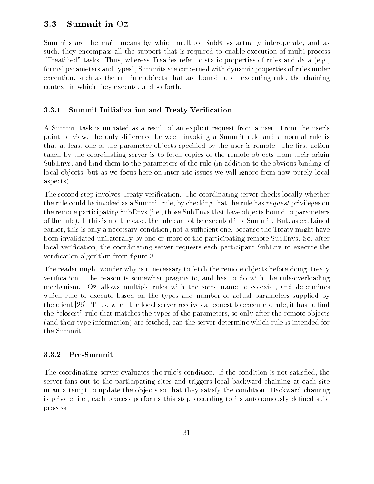#### 3.3 Summit in Oz

Summits are the main means by which multiple SubEnvs actually interoperate and as such, they encompass all the support that is required to enable execution of multi-process "Treatified" tasks. Thus, whereas Treaties refer to static properties of rules and data  $(e.g.,$ formal parameters and types Summits are concerned with dynamic properties of rules under execution, such as the runtime objects that are bound to an executing rule, the chaining context in which they execute, and so forth.

## 3.3.1 Summit Initialization and Treaty Verification

A Summit task is initiated as a result of an explicit request from a user. From the user's point of view, the only difference between invoking a Summit rule and a normal rule is that at least one of the parameter objects specified by the user is remote. The first action taken by the coordinating server is to fetch copies of the remote ob jects from their origin SubEnvs, and bind them to the parameters of the rule (in addition to the obvious binding of local objects, but as we focus here on inter-site issues we will ignore from now purely local as a construction of the construction of the construction of the construction of the construction of the construction of the construction of the construction of the construction of the construction of the construction of t

The second step involves Treaty verification. The coordinating server checks locally whether the rule could be invoked as a Summit rule, by checking that the rule has  $request$  privileges on the remote participating SubEnvs (i.e., those SubEnvs that have objects bound to parameters of the rule  $\mu$  as the rule case the rule case the rule case the rule  $\mu$  as excepted in a summit  $\mu$ earlier, this is only a necessary condition, not a sufficient one, because the Treaty might have been invalidated unilaterally by one or more of the participating remote SubEnvs. So, after local verification, the coordinating server requests each participant SubEnv to execute the verification algorithm from figure 3.

The reader might wonder why is it necessary to fetch the remote ob jects before doing Treaty verification. The reason is somewhat pragmatic, and has to do with the rule-overloading mechanism. Oz allows multiple rules with the same name to co-exist, and determines which rule to execute based on the types and number of actual parameters supplied by the client  $[26]$ . Thus, when the local server receives a request to execute a rule, it has to find the "closest" rule that matches the types of the parameters, so only after the remote objects and the server determine type information  $\mathbf{r}$  are fetched can the server determine which rule is intended for  $\mathbf{r}$ the Summit

The coordinating server evaluates the rule's condition. If the condition is not satisfied, the server fans out to the participating sites and triggers local backward chaining at each site in an attempt to update the objects so that they satisfy the condition. Backward chaining is private, i.e., each process performs this step according to its autonomously defined subprocess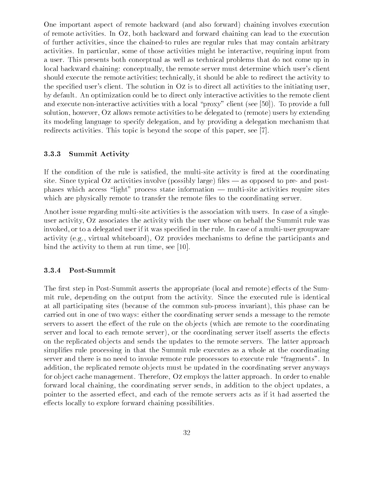One important aspect of remote backward and also forward chaining involves execution of remote activities In Oz both backward and forward chaining can lead to the execution of further activities, since the chained-to rules are regular rules that may contain arbitrary activities. In particular, some of those activities might be interactive, requiring input from a user. This presents both conceptual as well as technical problems that do not come up in local backward chaining- conceptually the remote server must determine which users client should execute the remote activities; technically, it should be able to redirect the activity to the specified user's client. The solution in  $OZ$  is to direct all activities to the initiating user, by default An optimization could be to direct only interactive activities to the remote client and executive activities with a local provide activities with a local provide a full  $\mathcal{N}$  $\mathcal{S}$ olution, however, Oz allows remote activities to be delegated to (remote) users by extending its modeling language to specify delegation and by providing a delegation mechanism that redirects activities. This topic is beyond the scope of this paper, see [7].

## 3.3.3 Summit Activity

If the condition of the rule is satisfied, the multi-site activity is fired at the coordinating site Since typical Oz activities involve (posting inage) involvement of poster to pick and post phases which access "light" process state information — multi-site activities require sites which are physically remote to transfer the remote files to the coordinating server.

Another issue regarding multi-site activities is the association with users. In case of a singleuser activity Oz associates the activity with the user whose on behalf the Summit rule was invoked, or to a delegated user if it was specified in the rule. In case of a multi-user groupware activity (irreductional whiteboard which provides mechanisms to describe participants and the participants and bind the activity to them at run time, see [10].

the rest step in Post step in Post and remote the appropriate  $\mu$  is the and remote  $\mu$  and remote  $\mu$  and  $\mu$ mit rule, depending on the output from the activity. Since the executed rule is identical at all participating sites because of the common subprocess invariant this phase can be carried out in out in two ways- in message the coordinating server sends a message to the remote servers to assert the effect of the rule on the objects (which are remote to the coordinating server and local to each remote server itself asserts the coordination of  $\Lambda$ on the replicated ob jects and sends the updates to the remote servers The latter approach simplifies rule processing in that the Summit rule executes as a whole at the coordinating server and there is no need to invoke remote rule processors to execute rule "fragments". In addition, the replicated remote objects must be updated in the coordinating server anyways for object cache management. Therefore, Oz employs the latter approach. In order to enable forward local chaining, the coordinating server sends, in addition to the object updates, a pointer to the asserted effect, and each of the remote servers acts as if it had asserted the effects locally to explore forward chaining possibilities.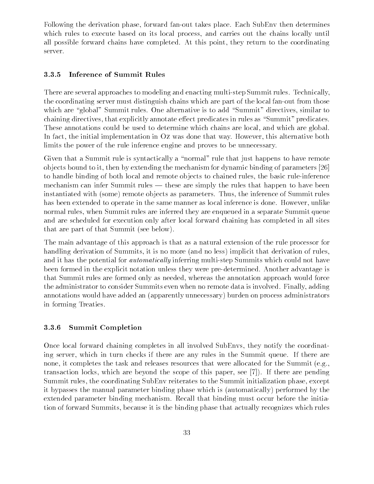Following the derivation phase, forward fan-out takes place. Each SubEnv then determines which rules to execute based on its local process, and carries out the chains locally until all possible forward chains have completed. At this point, they return to the coordinating server

#### 3.3.5 Inference of Summit Rules

There are several approaches to modeling and enacting multi-step Summit rules. Technically, the coordinating server must distinguish chains which are part of the local fan-out from those which are "global" Summit rules. One alternative is to add "Summit" directives, similar to chaining directives, that explicitly annotate effect predicates in rules as "Summit" predicates. These annotations could be used to determine which chains are local, and which are global. In fact, the initial implementation in Oz was done that way. However, this alternative both limits the power of the rule inference engine and proves to be unnecessary.

Given that a Summit rule is syntactically a "normal" rule that just happens to have remote objects bound to it, then by extending the mechanism for dynamic binding of parameters [26] to handle binding of both local and remote objects to chained rules, the basic rule-inference mechanism can infer Summit rules — these are simply the rules that happen to have been instantiated with  $\mathbf{r}$  in the inference ob jects as parameters  $\mathbf{r}$  inference of Summit rules of Summit rules as parameters  $\mathbf{r}$ has been extended to operate in the same manner as local inference is done. However, unlike normal rules, when Summit rules are inferred they are enqueued in a separate Summit queue and are scheduled for execution only after local forward chaining has completed in all sites that are part of the summit are seen in the set  $\mathcal{S}$ 

The main advantage of this approach is that as a natural extension of the rule processor for handling derivation of Summits it is no more and no less implicit that derivation of rules and it has the potential for *automatically* inferring multi-step Summits which could not have been formed in the explicit notation unless they were predetermined Another advantage is that Summit rules are formed only as needed whereas the annotation approach would force the administrator to consider Summits even when no remote data is involved. Finally, adding annotations would have added an  $u$  and  $u$  and  $u$  and  $u$  and  $u$  and  $u$  and  $u$  and  $u$  and  $u$  and  $u$  and  $u$  and  $u$  and  $u$  and  $u$  and  $u$  and  $u$  and  $u$  and  $u$  and  $u$  and  $u$  and  $u$  and  $u$  and  $u$  and  $u$  a in forming Treaties

## Summit Completion

Once local forward chaining completes in all involved SubEnvs they notify the coordinat ing server, which in turn checks if there are any rules in the Summit queue. If there are none, it completes the task and releases resources that were allocated for the Summit  $(e.g.,)$ transaction locks which are beyond the scope of the scope of the scope of the scope of the scope of the scope of the scope of the scope of the scope of the scope of the scope of the scope of the scope of the scope of the Summit rules, the coordinating SubEnv reiterates to the Summit initialization phase, except it by parameter the manual parameters binding parameter by phase which is  $\mathcal{P}$  is the manual  $\mathcal{P}$  the ma extended parameter binding mechanism. Recall that binding must occur before the initiation of forward Summits because it is the binding phase that actually recognizes which rules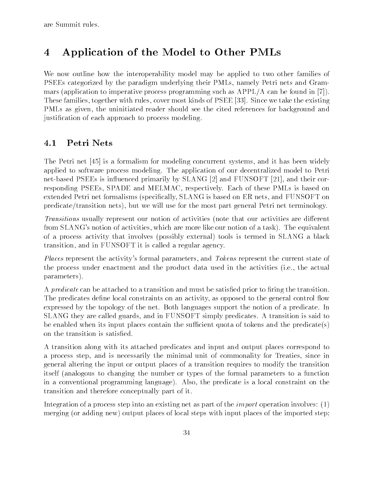# 4 Application of the Model to Other PMLs

We now outline how the interoperability model may be applied to two other families of PSEEs categorized by the paradigm underlying their PMLs namely Petri nets and Gram mars  $\alpha$  , application to imperative process programming such as APPLA can be found in  $\alpha$ These families, together with rules, cover most kinds of PSEE [33]. Since we take the existing PMLs as given, the uninitiated reader should see the cited references for background and justification of each approach to process modeling.

#### 4.1 Petri Nets

The Petri net  $\left[45\right]$  is a formalism for modeling concurrent systems, and it has been widely applied to software process modeling. The application of our decentralized model to Petri net-based PSEEs is influenced primarily by  $SLANG [2]$  and  $FUNSOFT [21]$ , and their corresponding PSEEs, SPADE and MELMAC, respectively. Each of these PMLs is based on extended Petri net formalisms (specifically, SLANG is based on ER nets, and FUNSOFT on predicated the most control use  $\mu$  with the most part  $\mu$  most part  $\alpha$  and  $\alpha$  and  $\alpha$  and  $\alpha$ 

Transitions usually represent our notion of activities (note that our activities are different from SLANGs notion of activities which are more like our notion of a task The equivalent of a process activity that involves is the external incomplete in SLANG and SLANG a black in SLANG a transition, and in FUNSOFT it is called a regular agency.

Places represent the activity's formal parameters, and Tokens represent the current state of the process under enactment and the product data used in the activities (i.e., the actual parameters

A *predicate* can be attached to a transition and must be satisfied prior to firing the transition. The predicates define local constraints on an activity, as opposed to the general control flow expressed by the topology of the net Both languages support the notion of a predicate In SLANG they are called guards, and in FUNSOFT simply predicates. A transition is said to be enabled when its input places contain the sufficient quota of tokens and the predicate $(s)$ on the transition is satisfied.

A transition along with its attached predicates and input and output places correspond to a process step, and is necessarily the minimal unit of commonality for Treaties, since in general altering the input or output places of a transition requires to modify the transition itself (analogous to changing the number or types of the formal parameters to a function in a conventional programming language Also the predicate is a local constraint on the transition and therefore conceptually part of it

Integration of a process step into an existing net as part of the import operation involves merging  $\alpha$  are adding new places places of the input  $\alpha$  input places of the imported steps with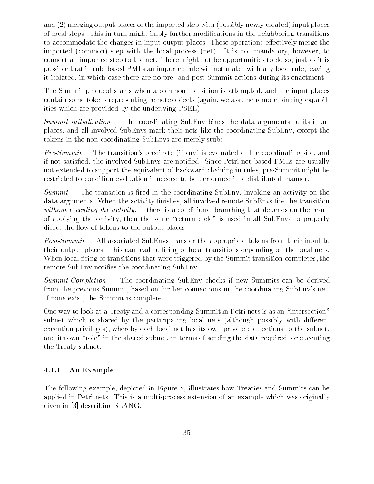and in the imported step with the imported step with a step with a step with the imported step with  $\alpha$ of local steps. This in turn might imply further modifications in the neighboring transitions to accommodate the changes in input-output places. These operations effectively merge the imported **interest with the local process interest with the local process interest in** connect an imported step to the net. There might not be opportunities to do so, just as it is possible that in rulebased PMLs an imported rule will not match with any local rule leaving it isolated, in which case there are no pre- and post-Summit actions during its enactment.

The Summit protocol starts when a common transition is attempted, and the input places contain some tokens representing remote objects (again, we assume remote binding capabilities which are provided by the underlying PSEE -

 $Summit$  initialization – The coordinating SubEnv binds the data arguments to its input places, and all involved SubEnvs mark their nets like the coordinating SubEnv, except the tokens in the non-coordinating SubEnvs are merely stubs.

Pre-Summit The transitions predicate if any is evaluated at the coordinating site and if not satisfied, the involved SubEnvs are notified. Since Petri net based PMLs are usually not extended to support the equivalent of backward chaining in rules, pre-Summit might be restricted to condition evaluation if needed to be performed in a distributed manner

 $Summit$  The transition is fired in the coordinating SubEnv, invoking an activity on the data arguments. When the activity finishes, all involved remote SubEnvs fire the transition without executing the activity. If there is a conditional branching that depends on the result of applying the activity, then the same "return code" is used in all SubEnvs to properly direct the flow of tokens to the output places.

Post-Summit All associated SubEnvs transfer the appropriate tokens from their input to their output places. This can lead to firing of local transitions depending on the local nets. When local firing of transitions that were triggered by the Summit transition completes, the remote SubEnv notifies the coordinating SubEnv.

Summit-Completion The coordinating SubEnv checks if new Summits can be derived from the previous Summit, based on further connections in the coordinating SubEnv's net. If none exist, the Summit is complete.

One way to look at a Treaty and a corresponding Summit in Petri nets is as an "intersection" subnet which is shared by the participating local nets (although possibly with different execution privileges its own private connections to the substitutions to the substitutions to the substitution and its own "role" in the shared subnet, in terms of sending the data required for executing the Treaty subnet

## 4.1.1 An Example

The following example, depicted in Figure 8, illustrates how Treaties and Summits can be applied in Petri nets. This is a multi-process extension of an example which was originally given in  $[3]$  describing SLANG.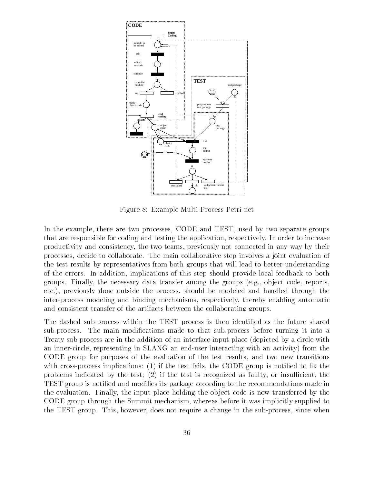

Figure - Example MultiProcess Petrinet

In the example, there are two processes, CODE and TEST, used by two separate groups that are responsible for coding and testing the application, respectively. In order to increase productivity and consistency the two teams previously not connected in any way by their processes decide to collaborate The main collaborative step involves a joint evaluation of the test results by representatives from both groups that will lead to better understanding of the errors In addition implications of this step should provide local feedback to both groups. Finally, the necessary data transfer among the groups  $(e.g.,\phi)$  code, reports, etc previously done outside the process should be modeled and handled through the inter-process modeling and binding mechanisms, respectively, thereby enabling automatic and consistent transfer of the artifacts between the collaborating groups

The dashed sub-process within the TEST process is then identified as the future shared sub-process. The main modifications made to that sub-process before turning it into a Treaty sub-process are in the addition of an interface input place (depicted by a circle with and interest in the representing in SLANG and the SLANG and the contractions and activity process into CODE group for purposes of the evaluation of the test results and two new transitions with cross-cross-cross-cross-cross-cross-cross-cross-cross-cross-cross-cross-cross-cross-cross-cross-cross-cross-cross-cross-cross-cross-cross-cross-cross-cross-cross-cross-cross-cross-cross-cross-cross-cross-cross-crossproblems indicated by the test  $\{\pm\}$  is the test is recognized as faulty or insurance the  $\pm$ TEST group is notified and modifies its package according to the recommendations made in the evaluation. Finally, the input place holding the object code is now transferred by the CODE group through the Summit mechanism, whereas before it was implicitly supplied to the TEST group. This, however, does not require a change in the sub-process, since when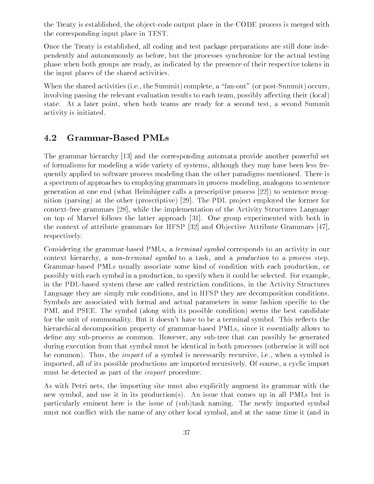the Treaty is established, the object-code output place in the CODE process is merged with the corresponding input place in TEST

Once the Treaty is established, all coding and test package preparations are still done independently and autonomously as before but the processes synchronize for the actual testing phase when both groups are ready as indicated by the presence of their respective tokens in the input places of the shared activities

when the shared activities (every completely completely as when the summit  $\alpha$  measured and the Summit  $\alpha$ involving passing the relevant evaluation results to each team, possibly affecting their (local) state. At a later point, when both teams are ready for a second test, a second Summit activity is initiated

#### 4.2 Grammar-Based PMLs

The grammar hierarchy  $\left[13\right]$  and the corresponding automata provide another powerful set of formalisms for modeling a wide variety of systems although they may have been less fre quently applied to software process modeling than the other paradigms mentioned There is a spectrum of approaches to employing grammars in process modeling analogous to sentence  $\sigma$  . The sentence recognizes the Heimann end  $\sigma$  are called a process  $\sigma$  . The sense recognizes  $\sigma$ nition parsing at the other proscriptive The PDL pro ject employed the former for context-free grammars  $[28]$ , while the implementation of the Activity Structures Language on top of Marvel follows the latter approach [31]. One group experimented with both in the context of attribute grammars for HFSP  $[32]$  and Objective Attribute Grammars  $[47]$ , respectively

Considering the grammar-based PMLs, a *terminal symbol* corresponds to an activity in our text terminal symbol terminal symbol to a task and a production to production to a production to a Grammarbased PMLs usually associate some kind of condition with each production or possibly with each symbol in a production, to specify when it could be selected. For example, in the PDL-based system these are called restriction conditions, in the Activity Structures Language they are simply rule conditions, and in HFSP they are decomposition conditions. Symbols are associated with formal and actual parameters in some fashion specific to the PML and PSEE The symbol along with its possible condition seems the best candidate for the unit of commonality. But it doesn't have to be a terminal symbol. This reflects the hierarchical decomposition property of grammar-based PMLs, since it essentially allows to define any sub-process as common. However, any sub-tree that can possibly be generated during execution from that symbol must be identical in both processes (otherwise it will not be common Thus the import of a symbol is necessarily recursive ie when a symbol is imported all of its possible productions are imported recursively Of course a cyclic import must be detected as part of the *import* procedure.

As with Petri nets, the importing site must also explicitly augment its grammar with the new symmetry which was it in its production, it issues use use the comes up in all places which is particularly eminent here is the issue of sub task naming The newly imported symbol must not conflict with the name of any other local symbol, and at the same time it (and in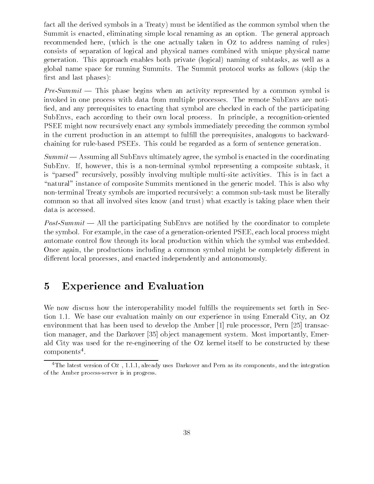fact all the derived symbols in a Treaty must be identied as the common symbol when the Summit is enacted, eliminating simple local renaming as an option. The general approach recommended here, (which is the one actually taken in Oz to address naming of rules) consists of separation of logical and physical names combined with unique physical name generation This approach enables both private  $\{x \cdot y \cdot \alpha\}$  continued by as well as well as  $\alpha$ global name space for running Summits. The Summit protocol works as follows (skip the rst and last phases -

Pre-Summit This phase begins when an activity represented by a common symbol is invoked in one process with data from multiple processes The remote SubEnvs are noti fied, and any prerequisites to enacting that symbol are checked in each of the participating SubEnvs, each according to their own local process. In principle, a recognition-oriented PSEE might now recursively enact any symbols immediately preceding the common symbol in the current production in an attempt to fulfill the prerequisites, analogous to backwardchaining for rule-based PSEEs. This could be regarded as a form of sentence generation.

 $Summit - Assuming all SubEnvs ultimately agree, the symbol is enacted in the coordinating$ SubEnv. If, however, this is a non-terminal symbol representing a composite subtask, it is "parsed" recursively, possibly involving multiple multi-site activities. This is in fact a "natural" instance of composite Summits mentioned in the generic model. This is also why nonterminal Treaty symbols are imported recursively- a common subtask must be literally common so that who should state and trust place is the place when the commonly is taking places. When the commo data is accessed

Post-Summit All the participating SubEnvs are notied by the coordinator to complete the symbol. For example, in the case of a generation-oriented PSEE, each local process might automate control flow through its local production within which the symbol was embedded. Once again, the productions including a common symbol might be completely different in different local processes, and enacted independently and autonomously.

# Experience and Evaluation

We now discuss how the interoperability model fulfills the requirements set forth in Section 1.1. We base our evaluation mainly on our experience in using Emerald City, an Oz environment that has been used to develop the Amber  $\lbrack 1\rbrack$  rule processor, Pern  $\lbrack 25\rbrack$  transaction manager, and the Darkover [35] object management system. Most importantly, Emerald City was used for the reengineering of the Oz kernel itself to be constructed by these components

 $\lceil$  readest version of Oz  $\lceil$  , 1.1.1, already uses Darkover and Pern as its components, and the integration of the Amber process-server is in progress.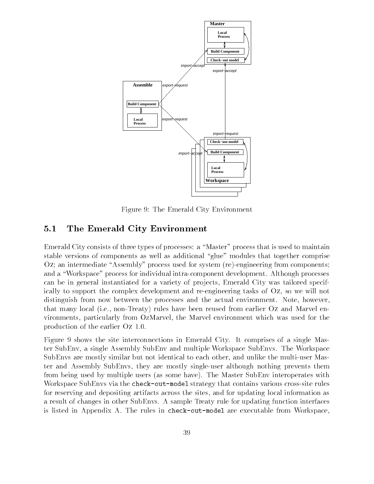

Figure - The Emerald City Environment

#### 5.1 The Emerald City Environment

Emerald City consists of three types of processes- a Master
 process that is used to maintain stable versions of components as well as additional "glue" modules that together comprise Oz an intermediate Assembly
 process used for system re engineering from components and a "Workspace" process for individual intra-component development. Although processes can be in general instantiated for a variety of projects, Emerald City was tailored specifically to support the complex development and re-engineering tasks of Oz, so we will not distinguish from now between the processes and the actual environment. Note, however that many local state many recent  $\mathbf{r}$  and many contreation from the correct  $\mathbf{r}$  or  $\mathbf{r}$ vironments particularly from OzMarvel the Marvel environment which was used for the production of the earlier Oz

Figure 9 shows the site interconnections in Emerald City. It comprises of a single Master SubEnv, a single Assembly SubEnv and multiple Workspace SubEnvs. The Workspace SubEnvs are mostly similar but not identical to each other, and unlike the multi-user Master and Assembly SubEnvs, they are mostly single-user although nothing prevents them from being used by multiple users as some have The Master SubEnv interoperates with Workspace SubEnvs via the check-out-model strategy that contains various crosssite rules for reserving and depositing artifacts across the sites, and for updating local information as a result of changes in other SubEnvs A sample Treaty rule for updating function interfaces is listed in Appendix A The rules in check-out-model are executable from Workspace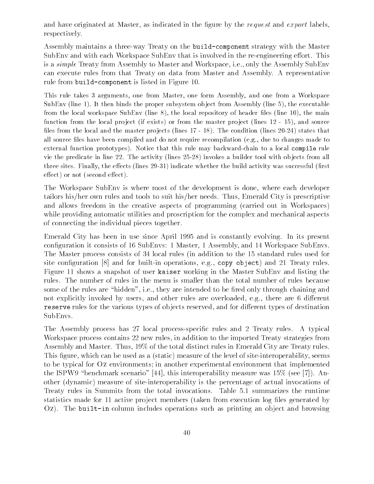and have originated at Master, as indicated in the figure by the request and export labels, respectively

Assembly maintains a threeway Treaty on the build-component strategy with the Master SubEnv and with each Workspace SubEnv that is involved in the re-engineering effort. This is a *simple* Treaty from Assembly to Master and Workspace, i.e., only the Assembly SubEnv can execute rules from that Treaty on data from Master and Assembly A representative rule from a non-ponent in Figure in Figure 1.

This rule takes 3 arguments, one from Master, one form Assembly, and one from a Workspace SubEnv line - It then binds the proper subsystem ob ject from Assembly line the executable from the local works pace SubEnv lines  $\sim$  line as the local repository of header  $\sim$  and  $\sim$   $\sim$   $\sim$ function from the local pro ject if exists or from the master pro ject lines - - and source les from the master problem the master problem in the master problem in the condition lines  $\mathcal{A}$ all source les have been compiled and do not require recompilation eg due to changes made to external function prototypes). Notice that this rule may backward-chain to a local compile rule vie the predicate in line  $22$ . The activity (lines  $25-28$ ) invokes a builder tool with objects from all three sites Finally the extrem (matrix may the build was successful activity was successful (matrix  $effect)$  or not (second effect).

The Workspace SubEnv is where most of the development is done, where each developer tailors his/her own rules and tools to suit his/her needs. Thus, Emerald City is prescriptive and allows freedom in the creative aspects of programming (carried out in Workspaces) while providing automatic utilities and proscription for the complex and mechanical aspects of connecting the individual pieces together

Emerald City has been in use since April 1995 and is constantly evolving. In its present conguration is consistent of SubEnverse and Workspace SubEnverse Assembly and Workspace SubEnverse SubEnvers The Master process consists of 34 local rules (in addition to the 15 standard rules used for site conguration and for builtin operations eg copy object and Treaty rules Figure 11 shows a snapshot of user kaiser working in the Master SubEnv and listing the rules. The number of rules in the menu is smaller than the total number of rules because some of the rules are "hidden", i.e., they are intended to be fired only through chaining and not explicitly invoked by users, and other rules are overloaded, e.g., there are 6 different reserve rules for the various types of objects reserved, and for different types of destination SubEnvs

The Assembly process has 27 local process-specific rules and 2 Treaty rules. A typical Workspace process contains 22 new rules, in addition to the imported Treaty strategies from Assembly and Master. Thus,  $19\%$  of the total distinct rules in Emerald City are Treaty rules. This and the level of the used as a static measure of the level of the level of the level of the level of the l to be typical for Oz environments in another experimental environment that implemented the ISP was the community of the ISP was the section of the section and the section of  $\mathcal{S}^{\text{max}}$ others  $\{w_i\}$  measure of sites in the percentage of actual involvement  $\mathcal{A}^*$  of actual involvement of a Treaty rules in Summits from the total invocations. Table 5.1 summarizes the runtime statistics made for 11 active project members (taken from execution log files generated by Oz The built-in column includes operations such as printing an ob ject and browsing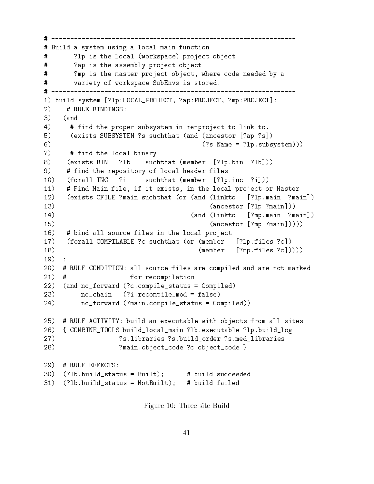```
# -# Build a system using a local main function
\#?lp is the local (workspace) project object
         ap is the assembly project object
# mp is the master project object where code needed by a
\pmb{\mathcal{H}} variety of workspace SubEnvs is stored
\sharpsystem and the product of the control of the control of the control of the control of the control of the control of the control of the control of the control of the control of the control of the control of the control of t
2) # RULE BINDINGS:
3) (and
  find the proper subsystem in re-
project to link to
exists Substitute Substitute Substitute Substitute (Substitute Substitute Substitute Substitute Substitute Sub
s) (?s.Name = ?lp.subsystem)))7)# find the local binary
exists BIN letters and members were considered and the such a local control of the such a local control of the
9) # find the repository of local header files
	 forall INC i suchthat member 
lpinc i

11) # Find Main file, if it exists, in the local project or Master
	 exists CFILE main suchthat or and linkto 
lpmain main

ancestor and the contract of the contract of the contract of the contract of the contract of the contract of t
and links are constructed in the construction of the construction of the construction of the construction of the construction of the construction of the construction of the construction of the construction of the construct
ancestor ancestor and a more contract to the contract of the contract of the contract of the contract of the c
16) # bind all source files in the local project
17) (forall COMPILABLE ?c suchthat (or (member
                                                      [?lp.files ?c])	 member 
mpfiles c

19)20) # RULE CONDITION: all source files are compiled and are not marked
21) # for recompilation
     \#22) (and no_forward (?c.compile_status = Compiled)
23) no_chain (?i.Fecompile_model = false)24) no_forward (?main.compile_status = Compiled))
25) # RULE ACTIVITY: build an executable with objects from all sites
26) { COMBINE_TOOLS build_local_main ?lb.executable ?lp.build_log
27) 3.1ibraries ?s.build_order ?s.med_libraries
28) main.object_code ?c.object_code }
29) # RULE EFFECTS:
30) (?1b.build_status = Built); # build succeeded
31) (?1b.build_status = NotBuild); # build failed
```
Figure - Threesite Build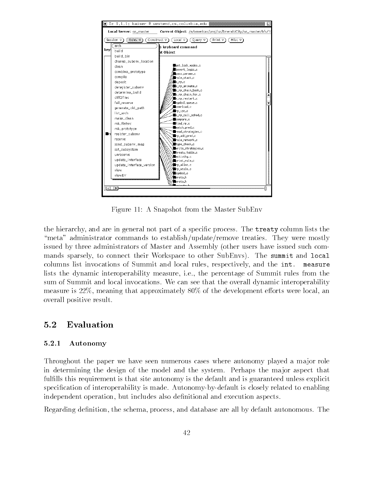

Figure - A Snapshot from the Master SubEnv

the hierarchy, and are in general not part of a specific process. The treaty column lists the "meta" administrator commands to establish/update/remove treaties. They were mostly issued by three administrators of Master and Assembly (other users have issued such commands sparsely to connect their Workspace to other SubEnvs The summit and local columns list invocations of Summit and local rules, respectively, and the int. measure lists the dynamic interoperability measure, i.e., the percentage of Summit rules from the sum of Summit and local invocations. We can see that the overall dynamic interoperability measure is  $22\%$ , meaning that approximately  $80\%$  of the development efforts were local, an overall positive result

## 5.2 Evaluation

#### 5.2.1 Autonomy

Throughout the paper we have seen numerous cases where autonomy played a major role in determining the design of the model and the system. Perhaps the major aspect that fulfills this requirement is that site autonomy is the default and is guaranteed unless explicit specification of interoperability is made. Autonomy-by-default is closely related to enabling independent operation, but includes also definitional and execution aspects.

Regarding definition, the schema, process, and database are all by default autonomous. The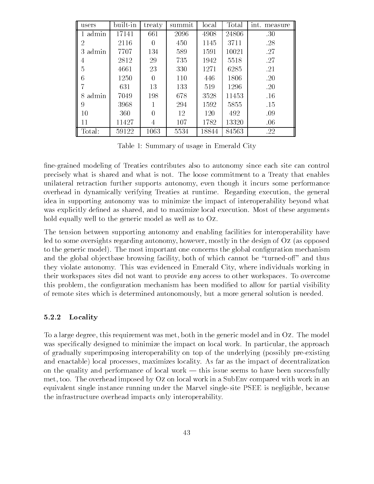| users          | built-in | treaty   | summit | local | Total | int.<br>measure |
|----------------|----------|----------|--------|-------|-------|-----------------|
| 1 admin        | 17141    | 661      | 2096   | 4908  | 24806 | .30             |
| $\overline{2}$ | 2116     | $\theta$ | 450    | 1145  | 3711  | .28             |
| 3<br>admin     | 7707     | 134      | 589    | 1591  | 10021 | .27             |
| 4              | 2812     | 29       | 735    | 1942  | 5518  | .27             |
| 5              | 4661     | 23       | 330    | 1271  | 6285  | .21             |
| 6              | 1250     | $\theta$ | 110    | 446   | 1806  | .20             |
|                | 631      | 13       | 133    | 519   | 1296  | .20             |
| admin<br>8     | 7049     | 198      | 678    | 3528  | 11453 | .16             |
| 9              | 3968     | 1        | 294    | 1592  | 5855  | .15             |
| 10             | 360      | $\Omega$ | 12     | 120   | 492   | .09             |
| 11             | 11427    | 4        | 107    | 1782  | 13320 | .06             |
| Total:         | 59122    | 1063     | 5534   | 18844 | 84563 | .22             |

Table - Summary of usage in Eq. ( ) we can expect the extension of  $\mathcal{N}$ 

fine-grained modeling of Treaties contributes also to autonomy since each site can control precisely what is shared and what is not The loose commitment to a Treaty that enables unilateral retraction further supports autonomy even though it incurs some performance overhead in dynamically verifying Treaties at runtime. Regarding execution, the general idea in supporting autonomy was to minimize the impact of interoperability beyond what was explicitly defined as shared, and to maximize local execution. Most of these arguments hold equally well to the generic model as well as to Oz.

The tension between supporting autonomy and enabling facilities for interoperability have led to some oversights regarding autonomy, however, mostly in the design of Oz (as opposed to the generic model  $\mathcal{L}$  is a most important one concerns the global conguration mechanism mechanism mechanism mechanism mechanism mechanism  $\mathcal{L}$ and the global objectbase browsing facility, both of which cannot be "turned-off" and thus they violate autonomy. This was evidenced in Emerald City, where individuals working in their workspaces sites did not want to provide any access to other workspaces To overcome this problem, the configuration mechanism has been modified to allow for partial visibility of remote sites which is determined autonomously but a more general solution is needed

#### 5.2.2 Locality

To a large degree, this requirement was met, both in the generic model and in Oz. The model was specifically designed to minimize the impact on local work. In particular, the approach of gradually superimposing interoperability on top of the underlying (possibly pre-existing and contracting to the processes maximizes in the impact of decentralization of decentralizations of the internal on the quality and performance of local work — this issue seems to have been successfully met, too. The overhead imposed by Oz on local work in a SubEnv compared with work in an equivalent single instance running under the Marvel single-site PSEE is negligible, because the infrastructure overhead impacts only interoperability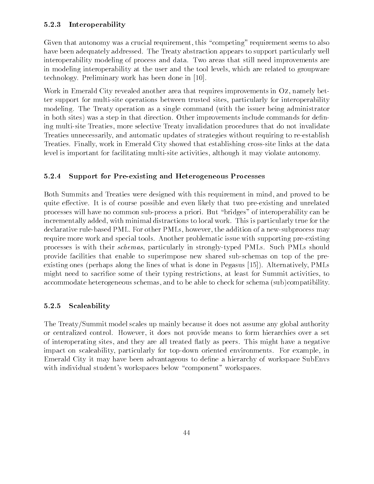#### $5.2.3$ Interoperability

Given that autonomy was a crucial requirement, this "competing" requirement seems to also have been adequately addressed. The Treaty abstraction appears to support particularly well interoperability modeling of process and data. Two areas that still need improvements are in modeling interoperability at the user and the tool levels which are related to groupware technology. Preliminary work has been done in [10].

Work in Emerald City revealed another area that requires improvements in Oz, namely better support for multisite operations between trusted sites particularly for interoperability modeling. The Treaty operation as a single command (with the issuer being administrator in both sites was a step in that direction Other improvements include commands for den ing multi-site Treaties, more selective Treaty invalidation procedures that do not invalidate Treaties unnecessarily and automatic updates of strategies without requiring to reestablish Treaties. Finally, work in Emerald City showed that establishing cross-site links at the data level is important for facilitating multi-site activities, although it may violate autonomy.

#### 5.2.4 Support for Pre-existing and Heterogeneous Processes

Both Summits and Treaties were designed with this requirement in mind and proved to be quite effective. It is of course possible and even likely that two pre-existing and unrelated processes will have no common sub-process a priori. But "bridges" of interoperability can be incrementally added, with minimal distractions to local work. This is particularly true for the declarative rule-based PML. For other PMLs, however, the addition of a new-subprocess may require more work and special tools. Another problematic issue with supporting pre-existing processes is with their *schemas*, particularly in strongly-typed PMLs. Such PMLs should provide facilities that enable to superimpose new shared subschemas on top of the pre existing ones perhaps along the lines of what is done in Pegasus Alternatively PMLs might need to sacrifice some of their typing restrictions, at least for Summit activities, to accommodate heterogeneous schemas and to be able to be able to be able to check for schema  $\mathcal{L}$ 

## Scaleability

The Treaty/Summit model scales up mainly because it does not assume any global authority or centralized control. However, it does not provide means to form hierarchies over a set of interoperating sites, and they are all treated flatly as peers. This might have a negative impact on scaleability, particularly for top-down oriented environments. For example, in Emerald City it may have been advantageous to define a hierarchy of workspace SubEnvs with individual student's workspaces below "component" workspaces.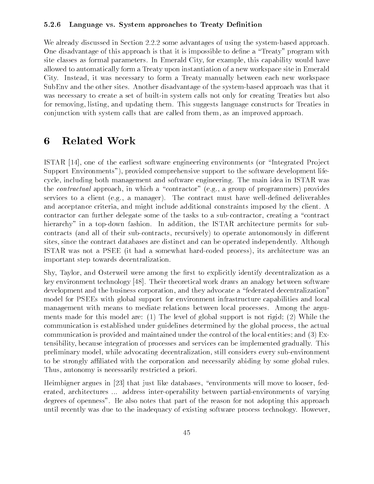#### 5.2.6 Language vs. System approaches to Treaty Definition

We already discussed in Section  $2.2.2$  some advantages of using the system-based approach. One disadvantage of this approach is that it is impossible to define a "Treaty" program with site classes as formal parameters. In Emerald City, for example, this capability would have allowed to automatically form a Treaty upon instantiation of a new workspace site in Emerald City. Instead, it was necessary to form a Treaty manually between each new workspace SubEnv and the other sites Another disadvantage of the systembased approach was that it was necessary to create a set of built-in system calls not only for creating Treaties but also for removing, listing, and updating them. This suggests language constructs for Treaties in conjunction with system calls that are called from them, as an improved approach.

# 6 Related Work

ISTAR  $[14]$ , one of the earliest software engineering environments (or "Integrated Project") Support Environments provided comprehensive support to the software development life cycle, including both management and software engineering. The main idea in ISTAR was the contractual approach in which a contract to provide the group of programmers provided to  $\mathcal{N}$ services to a manager must have welldened deliverables welldened deliverables  $\mathcal{N}$ and acceptance criteria, and might include additional constraints imposed by the client. A contractor can further delegate some of the tasks to a sub-contractor, creating a "contract hierarchy" in a top-down fashion. In addition, the ISTAR architecture permits for subcontracts in distribution of the intervention of the subcontracts recursively in distribution of the subcontracts recognized and the subcontracts recognized automously in distribution of the subcontracts recognized automou sites, since the contract databases are distinct and can be operated independently. Although ISTAR was not a somewhat had a somewhat had a somewhat had a somewhat has been defined by a somewhat has a some important step towards decentralization

Shy, Taylor, and Osterweil were among the first to explicitly identify decentralization as a key environment technology [48]. Their theoretical work draws an analogy between software development and the business corporation, and they advocate a "federated decentralization" model for PSEEs with global support for environment infrastructure capabilities and local management with means to mediate relations between local processes Among the argu ments model are the model are  $\{x\}$  which is not replaced the support is  $\pi$ communication is established under guidelines determined by the global process the actual communication is provided and maintained under the control of the local entities and Ex tensibility because integration of processes and services can be implemented gradually This preliminary model while advocating decentralization still considers every subenvironment to be strongly affiliated with the corporation and necessarily abiding by some global rules. Thus, autonomy is necessarily restricted a priori.

Heimbigner argues in [23] that just like databases, "environments will move to looser, federated, architectures ... address inter-operability between partial-environments of varying degrees of openness". He also notes that part of the reason for not adopting this approach until recently was due to the inadequacy of existing software process technology However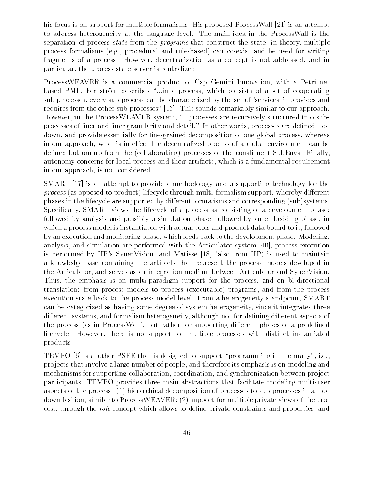his focus is on support for multiple formalisms. His proposed ProcessWall  $[24]$  is an attempt to address heterogeneity at the language level. The main idea in the ProcessWall is the separation of process *state* from the *programs* that construct the state; in theory, multiple  $p$ rocess formalisms  $p$  and rule based for writing for writing for writing for writing  $p$ fragments of a process. However, decentralization as a concept is not addressed, and in particular, the process state server is centralized.

ProcessWEAVER is a commercial product of Cap Gemini Innovation, with a Petri net based PML. Fernström describes "...in a process, which consists of a set of cooperating sub-processes, every sub-process can be characterized by the set of 'services' it provides and requires from the other sub-processes" [16]. This sounds remarkably similar to our approach. However, in the ProcessWEAVER system, "...processes are recursively structured into subprocesses of finer and finer granularity and detail." In other words, processes are defined topdown, and provide essentially for fine-grained decomposition of one global process, whereas in our approach, what is in effect the decentralized process of a global environment can be denses of the collaboration of the collaboration of the collaboration substitution of the constituent  $\mu$ autonomy concerns for local process and their artifacts, which is a fundamental requirement in our approach, is not considered.

SMART  $[17]$  is an attempt to provide a methodology and a supporting technology for the process as opposed to product lifecycle through multiformalism support whereby dierent phases in the lifecty in the lifect are supported by different formalisms and corresponding  $\mu$  and  $\mu$  , and corresponding  $\mu$ Specifically, SMART views the lifecycle of a process as consisting of a development phase; followed by analysis and possibly a simulation phase; followed by an embedding phase, in which a process model is instantiated with actual tools and product data bound to it; followed by an execution and monitoring phase, which feeds back to the development phase. Modeling, analysis, and simulation are performed with the Articulator system  $[40]$ , process execution is performed by HPs SynerVision and Matisse Islamic from HPS SynerVision and Matisse in Matisse a knowledge-base containing the artifacts that represent the process models developed in the Articulator, and serves as an integration medium between Articulator and SynerVision. Thus, the emphasis is on multi-paradigm support for the process, and on bi-directional translation- from process models to process executable programs and from the process execution state back to the process model level. From a heterogeneity standpoint, SMART can be categorized as having some degree of system heterogeneity since it integrates three different systems, and formalism heterogeneity, although not for defining different aspects of the process  $\mathbf{u}$  in Process Wallet dierent phases of a process of a process of a process of a predenedence  $\mathbf{u}$ lifecycle. However, there is no support for multiple processes with distinct instantiated products

TEMPO  $[6]$  is another PSEE that is designed to support "programming-in-the-many", i.e., projects that involve a large number of people, and therefore its emphasis is on modeling and mechanisms for supporting collaboration, coordination, and synchronization between project participants. TEMPO provides three main abstractions that facilitate modeling multi-user aspects of the process- (i) international decomposition of processes to sub-processes the top processes in a t down fashion similar to ProcessWEAVER **in multiple private views of the process** were private views of the process cess, through the *role* concept which allows to define private constraints and properties; and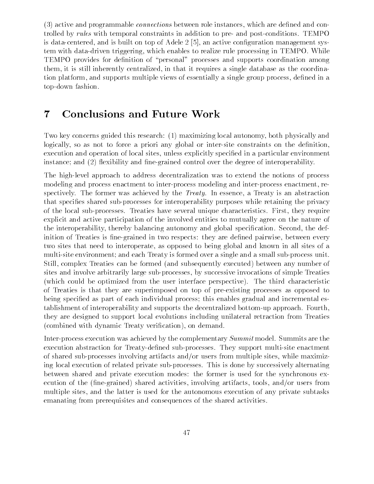active and programmable connections between role instances which are denoted and connections which are denoted trolled by *rules* with temporal constraints in addition to pre- and post-conditions. TEMPO is data-centered, and is built on top of Adele  $2\,[5]$ , an active configuration management system with data-driven triggering, which enables to realize rule processing in TEMPO. While TEMPO provides for definition of "personal" processes and supports coordination among them, it is still inherently centralized, in that it requires a single database as the coordination platform, and supports multiple views of essentially a single group process, defined in a top-down fashion.

#### **Conclusions and Future Work**  $\bf 7$

two key concerns and this research-both physical autonomy both physical autonomy both physical autonomy both p logically, so as not to force a priori any global or inter-site constraints on the definition, execution and operation of local sites, unless explicitly specified in a particular environment instance and  $\left\{ \equiv\right\}$  international control over the degree of international control over the degree of international  $\left\{ \cdot\right\}$ 

The high-level approach to address decentralization was to extend the notions of process modeling and process enactment to inter-process modeling and inter-process enactment, respectively. The former was achieved by the *Treaty*. In essence, a Treaty is an abstraction that specifies shared sub-processes for interoperability purposes while retaining the privacy of the local sub-processes. Treaties have several unique characteristics. First, they require explicit and active participation of the involved entities to mutually agree on the nature of the interoperability, thereby balancing autonomy and global specification. Second, the definition of Treaties is negrained in two respects- they are dened pairwise between every two sites that need to interoperate as opposed to being global and known in all sites of a multi-site environment; and each Treaty is formed over a single and a small sub-process unit. Still complex Treaties can be formed and subsequently executed between any number of sites and involve arbitrarily large sub-processes, by successive invocations of simple Treaties which could be optimized from the user interface perspective perspective  $\mathcal{L}_1$ of Treaties is that they are superimposed on top of preexisting processes as opposed to being specified as part of each individual process; this enables gradual and incremental establishment of interoperability and supports the decentralized bottom-up approach. Fourth, they are designed to support local evolutions including unilateral retraction from Treaties combined with dynamic Treaty verication on demand

Inter-process execution was achieved by the complementary Summit model. Summits are the execution abstraction for Treaty-defined sub-processes. They support multi-site enactment of shared sub-processes involving artifacts and/or users from multiple sites, while maximizing local execution of related private sub-processes. This is done by successively alternating between shared and private execution modes- the former is used for the synchronous ex ecution of the space  $\pi$  shared activities in vertices in and  $\pi$  artifacts tools and  $\pi$  are seen from  $\pi$ multiple sites and the latter is used for the autonomous execution of any private subtasks emanating from prerequisites and consequences of the shared activities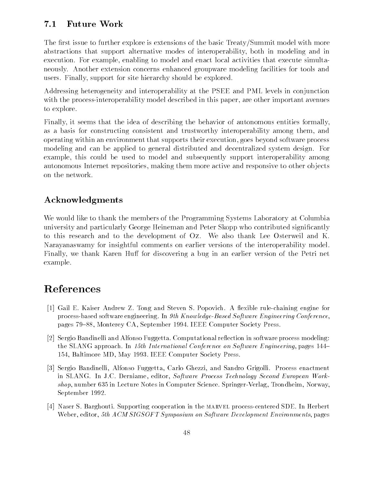## Future Work

The first issue to further explore is extensions of the basic Treaty/Summit model with more abstractions that support alternative modes of interoperability both in modeling and in execution. For example, enabling to model and enact local activities that execute simultaneously Another extension concerns enhanced groupware modeling facilities for tools and users. Finally, support for site hierarchy should be explored.

Addressing heterogeneity and interoperability at the PSEE and PML levels in conjunction with the process-interoperability model described in this paper, are other important avenues to explore

Finally it seems that the idea of describing the behavior of autonomous entities formally as a basis for constructing consistent and trustworthy interoperability among them and operating within an environment that supports their execution goes beyond software process modeling and can be applied to general distributed and decentralized system design. For example, this could be used to model and subsequently support interoperability among autonomous Internet repositories making them more active and responsive to other ob jects on the network

# Acknowledgments

We would like to thank the members of the Programming Systems Laboratory at Columbia university and particularly George Heineman and Peter Skopp who contributed signicantly to this research and to the development of Oz We also thank Lee Osterweil and K Narayanaswamy for insightful comments on earlier versions of the interoperability model Finally, we thank Karen Huff for discovering a bug in an earlier version of the Petri net example

# References

- - Gail E Kaiser Andrew Z Tong and Steven S Popovich A exible rulechaining engine for processbased software engineering In th Know ledge-Based Software Engineering Conference pages Monterey CA September - IEEE Computer Society Press
- [2] Sergio Bandinelli and Alfonso Fuggetta. Computational reflection in software process modeling: the SLANG approach In th International Conference on Software Engineering pages - - Baltimore MD May - IEEE Computer Society Press
- [3] Sergio Bandinelli, Alfonso Fuggetta, Carlo Ghezzi, and Sandro Grigolli. Process enactment in SLANG. In J.C. Derniame, editor, Software Process Technology Second European Workshop, number 635 in Lecture Notes in Computer Science. Springer-Verlag, Trondheim, Norway. September -
- [4] Naser S. Barghouti. Supporting cooperation in the MARVEL process-centered SDE. In Herbert Weber, editor, 5th ACM SIGSOFT Symposium on Software Development Environments, pages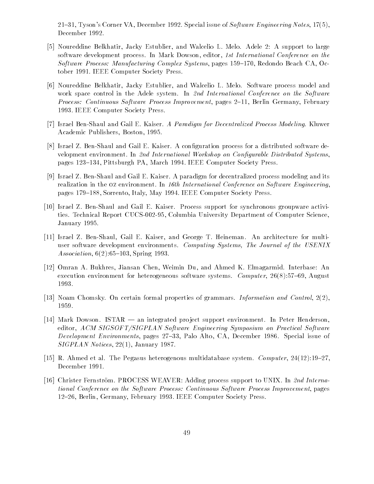-- Tysons Corner VA December - Special issue of Software Engineering Notes - 

- [5] Noureddine Belkhatir, Jacky Estublier, and Walcelio L. Melo. Adele 2: A support to large software development process. In Mark Dowson, editor, 1st International Conference on the Software Process Manufacturing Complex Systems pages -- Redondo Beach CA Oc tober - IEEE Computer Society Press, and IEEE Computer Society Press, and IEEE Computer Society Press, and IEEE
- [6] Noureddine Belkhatir, Jacky Estublier, and Walcelio L. Melo. Software process model and work space control in the Adele system. In 2nd International Conference on the Software Process Continuous Software Process Improvement pages -- Berlin Germany February - IEEE Computer Society Press, 2008. IEEE Computer Society Press, 2008. IEEE Computer Society Press, 2008. IEEE
- [7] Israel Ben-Shaul and Gail E. Kaiser. A Paradigm for Decentralized Process Modeling. Kluwer Academic Publishers Boston -
- Ist account and and Gail E Contract and A contract the contract process for a distributed social and velopment environment. In 2nd International Workshop on Configurable Distributed Systems. pages -- Pittsburgh PA March - IEEE Computer Society Press
- [9] Israel Z. Ben-Shaul and Gail E. Kaiser. A paradigm for decentralized process modeling and its realization in the  $oz$  environment. In 16th International Conference on Software Engineering. pages -- Sorrento Italy May - IEEE Computer Society Press
- isri sranel za en die Gail E Kaiser Process support for synchronous groupware activities and the second ties. Technical Report CUCS-002-95, Columbia University Department of Computer Science, January -
- -- Israel Z BenShaul Gail E Kaiser and George T Heineman An architecture for multi user software development environments. Computing Systems, The Journal of the USENIX association of show spokes because the space of the space of the space of the space of the space of the space o
- - Omran A Bukhres Jiansan Chen Weimin Du and Ahmed K Elmagarmid Interbase An execution environment for heterogeneous software systems. Computer,  $26(8)$ :57-69, August
- - Noam Chomsky On certain formal properties of grammars Information and Control
- - Mark Dowson ISTAR an integrated pro ject support environment In Peter Henderson editor Active Service Software Engineering Symposium on Practical Software Symposium on Practical Software Software Development Environments pages Palo Alto CA December - Special issue of SIGPLAN NOTICES - In the state of the state of the state of the state of the state of the state of the state of
- is also alternative all the Pegasus multidatabase system computer computer is also all the computer of  $\sim$
- - Christer Fernstrom PROCESS WEAVER Adding process support to UNIX In nd International Conference on the Software Process: Continuous Software Process Improvement, pages - Berlin Germany February - IEEE Computer Society Press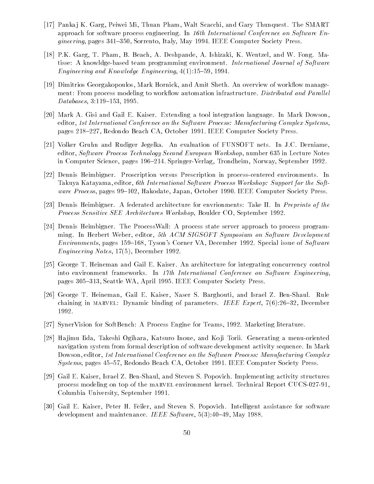- - Panka j K Garg Peiwei Mi Thuan Pham Walt Scacchi and Gary Thunquest The SMART approach for software process engineering. In 16th International Conference on Software  $En$ gineering pages - Sorrento Italy May - IEEE Computer Society Press
- - PK Garg T Pham B Beach A Deshpande A Ishizaki K Wentzel and W Fong Ma tisse: A knowldge-based team programming environment. International Journal of Software encyment ing and Engineering - encyment ing a species - and encyment
- - Dimitrios Georgakopoulos Mark Hornick and Amit Sheth An overview of workow manage ment: From process modeling to workflow automation infrastructure. Distributed and Parallel Databases --- -
- [20] Mark A. Gisi and Gail E. Kaiser. Extending a tool integration language. In Mark Dowson, editor, 1st International Conference on the Software Process: Manufacturing Complex Systems. pages - Redondo Beach CA October -- IEEE Computer Society Press
- - Volker Gruhn and Rudiger Jegelka An evaluation of FUNSOFT nets In JC Derniame editor, Software Process Technology Second European Workshop, number 635 in Lecture Notes in Computer Science pages -- SpringerVerlag Trondheim Norway September -
- [22] Dennis Heimbigner. Proscription versus Prescription in process-centered environments. In Takuya Katayama, editor, 6th International Software Process Workshop: Support for the Software Process pages - Hakodate Japan October - Hakodate Japan October - Hakodate Japan October - Hakodate Japan
- [23] Dennis Heimbigner. A federated architecture for envrionments: Take II. In Preprints of the Process Sensitive SEE Architectures Workshop Boulder CO September -
- [24] Dennis Heimbigner. The ProcessWall: A process state server approach to process programming. In Herbert Weber, editor, 5th ACM SIGSOFT Symposium on Software Development environments pages - en corner - passer - essent - en corner de sons corner de corner de corporation -Engineering Notes - December -
- [25] George T. Heineman and Gail E. Kaiser. An architecture for integrating concurrency control into environment frameworks. In 17th International Conference on Software Engineering. pages - Seattle WA April - IEEE Computer Society Press
- [26] George T. Heineman, Gail E. Kaiser, Naser S. Barghouti, and Israel Z. Ben-Shaul. Rule chaining in MARVEL: Dynamic binding of parameters. IEEE Expert,  $7(6)$ :26-32, December
- SynerVision for SoftBench A Process Engine for Teams Marketing literature
- [28] Hajimu Iida, Takeshi Ogihara, Katsuro Inoue, and Koji Torii. Generating a menu-oriented navigation system from formal description of software development activity sequence In Mark Dowson, editor, 1st International Conference on the Software Process: Manufacturing Complex Systems pages Redondo Beach CA October -- IEEE Computer Society Press
- [29] Gail E. Kaiser, Israel Z. Ben-Shaul, and Steven S. Popovich. Implementing activity structures process modeling on top of the marvel environment kernel Technical Report CUCS- Columbia University September --
- [30] Gail E. Kaiser, Peter H. Feiler, and Steven S. Popovich. Intelligent assistance for software development and maintenance IEEE Software IEEE Software IEEE Software IEEE Software IEEE Software IEEE Software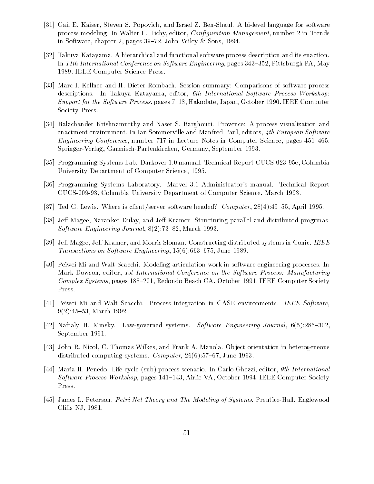- - Gail E Kaiser Steven S Popovich and Israel Z BenShaul A bilevel language for software process modeling. In Walter F. Tichy, editor, *Configuration Management*, number 2 in Trends in Software chapter is pages in Sons - Sons - Sons - Sons - Sons - Sons
- [32] Takuya Katayama. A hierarchical and functional software process description and its enaction. In 11th International Conference on Software Engineering, pages 343–352, Pittsburgh PA, May - IEEE Computer Science Press Computer Science Press Computer Science Press Computer Science Press Computer Sc
- [33] Marc I. Kellner and H. Dieter Rombach. Session summary: Comparisons of software process descriptions. In Takuya Katayama, editor, 6th International Software Process Workshop: support for the Software Process pages - Process panel of the May 2019 and 2019 and 2019 and 2019 and Society Press
- [34] Balachander Krishnamurthy and Naser S. Barghouti. Provence: A process visualization and enactment environment. In Ian Sommerville and Manfred Paul, editors,  $4th \; European Software$ ency conference and conference in Lecture and Conference and the Computer Science pages and the second Springer Verlag Garmische Garmischen Germannen Germannen germannten September -
- programming Systems English Darkover manual December Programming Programming Programming Programming University Department of Computer Science -
- Programming Systems Laboratory Marvel Administrators manual Technical Report CUCS Columbia University Department of Computer Science March -
- Ted G Lewis Where is clients to compute the software measured Computer ( April April April April April
- [38] Jeff Magee, Naranker Dulay, and Jeff Kramer. Structuring parallel and distributed progrmas software Engineering Islamiching of Engineering and March 2014
- [39] Jeff Magee, Jeff Kramer, and Morris Sloman. Constructing distributed systems in Conic. IEEE where we have also speed the Engineering and we present a replacement wat the c
- Peiwei Mi and Walt Scacchi Modeling articulation work in software engineering processes In Mark Dowson, editor, 1st International Conference on the Software Process: Manufacturing Complex Systems pages -- Redondo Beach CA October -- IEEE Computer Society Press
- - Peiwei Mi and Walt Scacchi Process integration in CASE environments IEEE Software March -
- [42] Naftaly H. Minsky. Law-governed systems. Software Engineering Journal, 6(5):285–302, September --
- [43] John R. Nicol, C. Thomas Wilkes, and Frank A. Manola. Object orientation in heterogeneous distributed computing systems  $\mathcal{L}$  and  $\mathcal{L}$  and  $\mathcal{L}$  and  $\mathcal{L}$  and  $\mathcal{L}$  and  $\mathcal{L}$  and  $\mathcal{L}$  and  $\mathcal{L}$  and  $\mathcal{L}$  and  $\mathcal{L}$  and  $\mathcal{L}$  and  $\mathcal{L}$  and  $\mathcal{L}$  and  $\mathcal{L}$  and  $\mathcal{L}$
- [44] Maria H. Penedo. Life-cycle (sub) process scenario. In Carlo Ghezzi, editor, 9th International Software Process Workshop pages --- Airlie VA October - IEEE Computer Society Press
- [45] James L. Peterson. Petri Net Theory and The Modeling of Systems. Prentice-Hall, Englewood Clis NJ --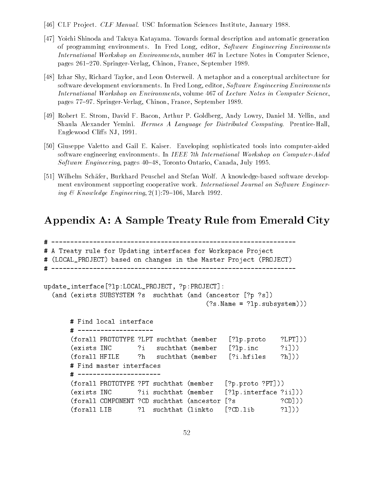- CLF Pro ject CLF Manual USC Information Sciences Institute January -
- [47] Yoichi Shinoda and Takuya Katayama. Towards formal description and automatic generation of programming environments. In Fred Long, editor, Software Engineering Environments International Workshop on Environments, number 467 in Lecture Notes in Computer Science, pages - SpringerVerlag Chinon France September -
- [48] Izhar Shy, Richard Taylor, and Leon Osterweil. A metaphor and a conceptual architecture for software development enviornments. In Fred Long, editor, Software Engineering Environments International Workshop on Environments, volume 467 of Lecture Notes in Computer Science. pages is significated chinon framework and the chinon framework september of the september of  $\sim$
- [49] Robert E. Strom, David F. Bacon, Arthur P. Goldberg, Andy Lowry, Daniel M. Yellin, and Shaula Alexander Yemini. Hermes A Language for Distributed Computing. Prentice-Hall, Englewood Clis NJ --
- [50] Giuseppe Valetto and Gail E. Kaiser. Enveloping sophisticated tools into computer-aided software engineering environments In IEEE th International Workshop on Computer-Aided Software Engineering pages Toronto Ontario Canada July -
- - Wilhelm Schafer Burkhard Peuschel and Stefan Wolf A knowledgebased software develop ment environment supporting cooperative work. International Journal on Software Engineering the engineering of the engineering of the engineering of the engineering of the engineering of the engineering of the engineering of the engineering of the engineering of the engineering of the engineering of the engin

# Appendix  $A: A$  Sample Treaty Rule from Emerald City

```
# A Treaty rule for Updating interfaces for Workspace Project
# (LOCAL_PROJECT) based on changes in the Master Project (PROJECT)
update in the second control of the second control of the second control of the second control of the second c
 and exists SUBSYSTEM s suchthat and ancestor 
p s

                                      (?s.Name = ?lp.subsystem))# Find local interface
      # --------------------
      (forall PROTOTYPE ?LPT suchthat (member
                                           [?lp.proto ?LPT])[?lp.inc ?i])(exists INC ?i suchthat (member
      (forall HFILE ?h suchthat (member
                     ?<sub>h</sub>[?i.hfiles ?h])# Find master interfaces
      # ----------------------
      (forall PROTOTYPE ?PT suchthat (member
                                          [?p.proto ?PT]))
      (exists INC ?ii suchthat (member)
                                          [?lp.interrface ?ii]))
      (forall COMPONENT ?CD suchthat (ancestor [?s
                                                       ?CD]))
      (forall LIB 31 suchthat (linkto)
                                          [?CD.1ib ?1])
```